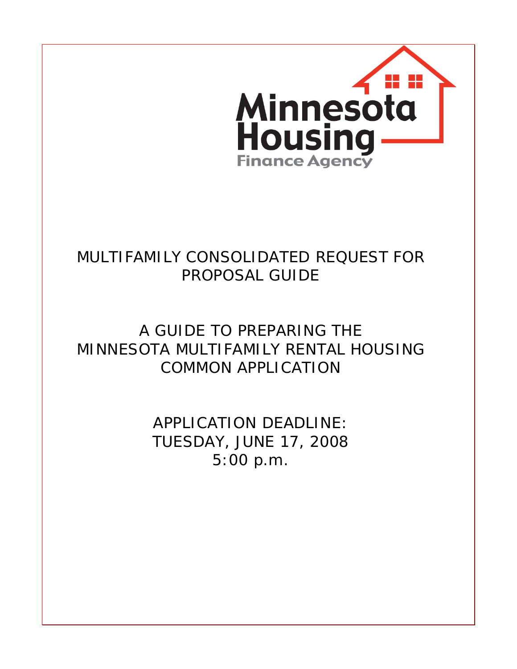

## MULTIFAMILY CONSOLIDATED REQUEST FOR PROPOSAL GUIDE

# A GUIDE TO PREPARING THE MINNESOTA MULTIFAMILY RENTAL HOUSING COMMON APPLICATION

APPLICATION DEADLINE: TUESDAY, JUNE 17, 2008 5:00 p.m.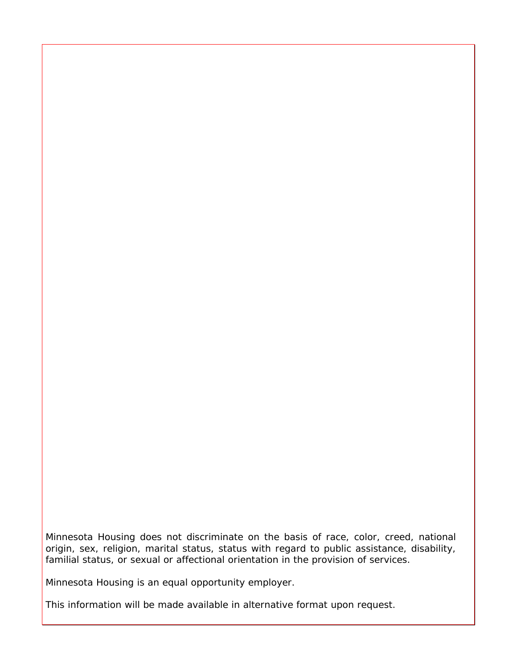Minnesota Housing does not discriminate on the basis of race, color, creed, national origin, sex, religion, marital status, status with regard to public assistance, disability, familial status, or sexual or affectional orientation in the provision of services.

Minnesota Housing is an equal opportunity employer.

This information will be made available in alternative format upon request.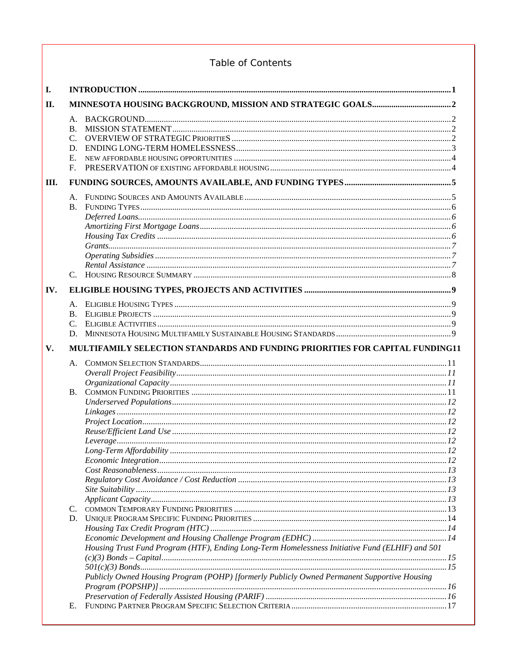## Table of Contents

| <b>I.</b> |                                                                     |                                                                                                                                                                                                |  |
|-----------|---------------------------------------------------------------------|------------------------------------------------------------------------------------------------------------------------------------------------------------------------------------------------|--|
| II.       |                                                                     |                                                                                                                                                                                                |  |
|           | A.<br><b>B.</b><br>$C_{\cdot}$<br>D.<br>$E_{\rm{c}}$<br>$F_{\cdot}$ |                                                                                                                                                                                                |  |
| Ш.        |                                                                     |                                                                                                                                                                                                |  |
|           | A.<br><b>B.</b><br>$C_{\cdot}$                                      |                                                                                                                                                                                                |  |
| IV.       |                                                                     |                                                                                                                                                                                                |  |
|           | A.<br><b>B.</b><br>C.<br>D.                                         |                                                                                                                                                                                                |  |
| V.        |                                                                     | MULTIFAMILY SELECTION STANDARDS AND FUNDING PRIORITIES FOR CAPITAL FUNDING11                                                                                                                   |  |
|           | Α.<br>B.<br>C.                                                      |                                                                                                                                                                                                |  |
|           | Е.                                                                  | Housing Trust Fund Program (HTF), Ending Long-Term Homelessness Initiative Fund (ELHIF) and 501<br>Publicly Owned Housing Program (POHP) [formerly Publicly Owned Permanent Supportive Housing |  |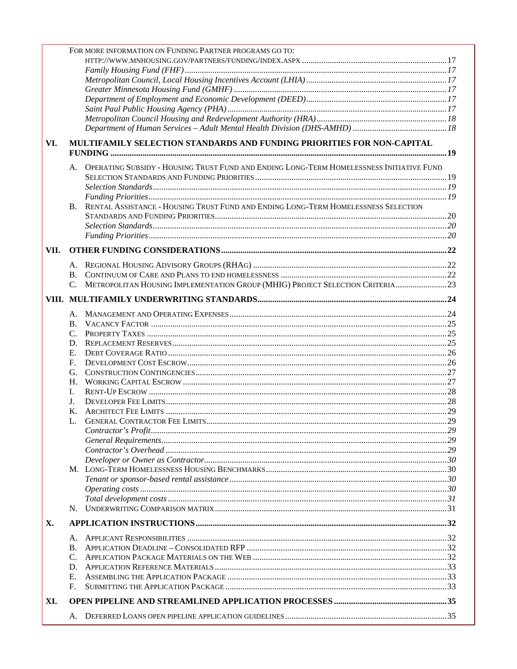| X.   | Α.<br>В.    |                                                                                             |  |
|------|-------------|---------------------------------------------------------------------------------------------|--|
|      |             |                                                                                             |  |
|      |             |                                                                                             |  |
|      |             |                                                                                             |  |
|      |             |                                                                                             |  |
|      |             |                                                                                             |  |
|      |             |                                                                                             |  |
|      |             |                                                                                             |  |
|      |             |                                                                                             |  |
|      |             |                                                                                             |  |
|      |             |                                                                                             |  |
|      |             |                                                                                             |  |
|      |             |                                                                                             |  |
|      | Κ.          |                                                                                             |  |
|      | J.          |                                                                                             |  |
|      | L           |                                                                                             |  |
|      | H.          |                                                                                             |  |
|      | G.          |                                                                                             |  |
|      | $F_{\cdot}$ |                                                                                             |  |
|      | Е.          |                                                                                             |  |
|      |             |                                                                                             |  |
|      | $C_{\cdot}$ |                                                                                             |  |
|      | B.          |                                                                                             |  |
|      |             |                                                                                             |  |
|      |             |                                                                                             |  |
|      | $C_{\cdot}$ | METROPOLITAN HOUSING IMPLEMENTATION GROUP (MHIG) PROJECT SELECTION CRITERIA23               |  |
|      |             |                                                                                             |  |
|      |             |                                                                                             |  |
|      |             |                                                                                             |  |
| VII. |             |                                                                                             |  |
|      |             |                                                                                             |  |
|      |             |                                                                                             |  |
|      |             |                                                                                             |  |
|      | В.          | RENTAL ASSISTANCE - HOUSING TRUST FUND AND ENDING LONG-TERM HOMELESSNESS SELECTION          |  |
|      |             |                                                                                             |  |
|      |             |                                                                                             |  |
|      |             |                                                                                             |  |
|      |             | A. OPERATING SUBSIDY - HOUSING TRUST FUND AND ENDING LONG-TERM HOMELESSNESS INITIATIVE FUND |  |
| VI.  |             | MULTIFAMILY SELECTION STANDARDS AND FUNDING PRIORITIES FOR NON-CAPITAL                      |  |
|      |             |                                                                                             |  |
|      |             |                                                                                             |  |
|      |             |                                                                                             |  |
|      |             |                                                                                             |  |
|      |             |                                                                                             |  |
|      |             |                                                                                             |  |
|      |             |                                                                                             |  |
|      |             |                                                                                             |  |
|      |             | FOR MORE INFORMATION ON FUNDING PARTNER PROGRAMS GO TO:                                     |  |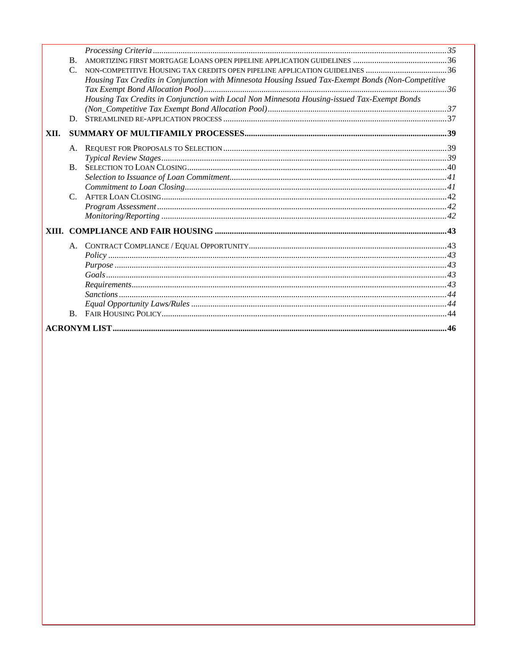|      | $\mathbf{B}$ . |                                                                                                    |  |  |
|------|----------------|----------------------------------------------------------------------------------------------------|--|--|
|      | $C_{\cdot}$    | NON-COMPETITIVE HOUSING TAX CREDITS OPEN PIPELINE APPLICATION GUIDELINES 36                        |  |  |
|      |                | Housing Tax Credits in Conjunction with Minnesota Housing Issued Tax-Exempt Bonds (Non-Competitive |  |  |
|      |                |                                                                                                    |  |  |
|      |                | Housing Tax Credits in Conjunction with Local Non Minnesota Housing-issued Tax-Exempt Bonds        |  |  |
|      |                |                                                                                                    |  |  |
|      | D.             |                                                                                                    |  |  |
| XII. |                |                                                                                                    |  |  |
|      | A.             |                                                                                                    |  |  |
|      |                |                                                                                                    |  |  |
|      | $\mathbf{B}$ . |                                                                                                    |  |  |
|      |                |                                                                                                    |  |  |
|      |                |                                                                                                    |  |  |
|      | $C_{\cdot}$    |                                                                                                    |  |  |
|      |                |                                                                                                    |  |  |
|      |                |                                                                                                    |  |  |
|      |                |                                                                                                    |  |  |
|      | $A_{\cdot}$    |                                                                                                    |  |  |
|      |                | Policy 1, 43                                                                                       |  |  |
|      |                |                                                                                                    |  |  |
|      |                |                                                                                                    |  |  |
|      |                |                                                                                                    |  |  |
|      |                |                                                                                                    |  |  |
|      |                |                                                                                                    |  |  |
|      | $B_{\cdot}$    |                                                                                                    |  |  |
|      |                |                                                                                                    |  |  |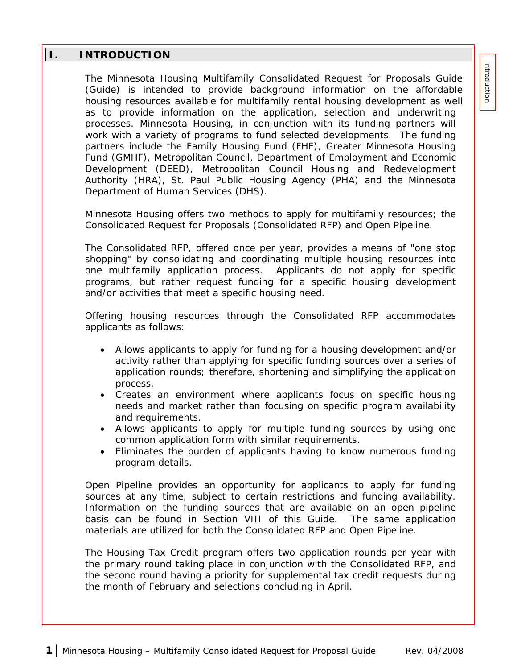## <span id="page-6-0"></span>**I. INTRODUCTION**

The Minnesota Housing Multifamily Consolidated Request for Proposals Guide (Guide) is intended to provide background information on the affordable housing resources available for multifamily rental housing development as well as to provide information on the application, selection and underwriting processes. Minnesota Housing, in conjunction with its funding partners will work with a variety of programs to fund selected developments. The funding partners include the Family Housing Fund (FHF), Greater Minnesota Housing Fund (GMHF), Metropolitan Council, Department of Employment and Economic Development (DEED), Metropolitan Council Housing and Redevelopment Authority (HRA), St. Paul Public Housing Agency (PHA) and the Minnesota Department of Human Services (DHS).

Minnesota Housing offers two methods to apply for multifamily resources; the Consolidated Request for Proposals (Consolidated RFP) and Open Pipeline.

The Consolidated RFP, offered once per year, provides a means of "one stop shopping" by consolidating and coordinating multiple housing resources into one multifamily application process. Applicants do not apply for specific programs, but rather request funding for a specific housing development and/or activities that meet a specific housing need.

Offering housing resources through the Consolidated RFP accommodates applicants as follows:

- Allows applicants to apply for funding for a housing development and/or activity rather than applying for specific funding sources over a series of application rounds; therefore, shortening and simplifying the application process.
- Creates an environment where applicants focus on specific housing needs and market rather than focusing on specific program availability and requirements.
- Allows applicants to apply for multiple funding sources by using one common application form with similar requirements.
- Eliminates the burden of applicants having to know numerous funding program details.

Open Pipeline provides an opportunity for applicants to apply for funding sources at any time, subject to certain restrictions and funding availability. Information on the funding sources that are available on an open pipeline basis can be found in Section VIII of this Guide. The same application materials are utilized for both the Consolidated RFP and Open Pipeline.

The Housing Tax Credit program offers two application rounds per year with the primary round taking place in conjunction with the Consolidated RFP, and the second round having a priority for supplemental tax credit requests during the month of February and selections concluding in April.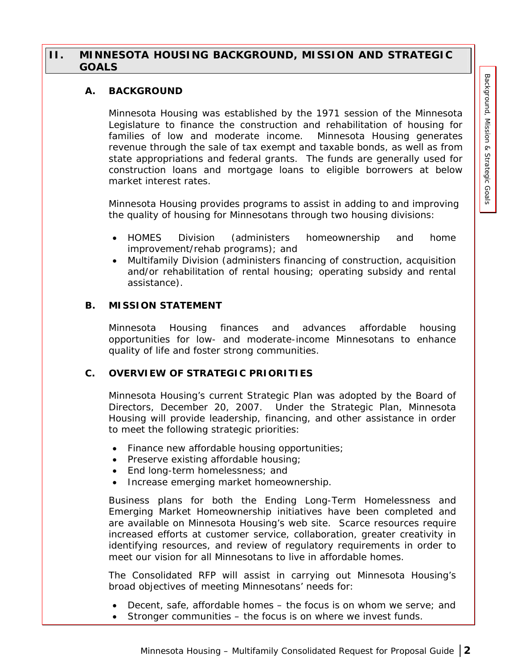## <span id="page-7-0"></span>**II. MINNESOTA HOUSING BACKGROUND, MISSION AND STRATEGIC GOALS**

#### **A. BACKGROUND**

Minnesota Housing was established by the 1971 session of the Minnesota Legislature to finance the construction and rehabilitation of housing for families of low and moderate income. Minnesota Housing generates revenue through the sale of tax exempt and taxable bonds, as well as from state appropriations and federal grants. The funds are generally used for construction loans and mortgage loans to eligible borrowers at below market interest rates.

Minnesota Housing provides programs to assist in adding to and improving the quality of housing for Minnesotans through two housing divisions:

- HOMES Division (administers homeownership and home improvement/rehab programs); and
- Multifamily Division (administers financing of construction, acquisition and/or rehabilitation of rental housing; operating subsidy and rental assistance).

#### **B. MISSION STATEMENT**

Minnesota Housing finances and advances affordable housing opportunities for low- and moderate-income Minnesotans to enhance quality of life and foster strong communities.

#### **C. OVERVIEW OF STRATEGIC PRIORITIES**

Minnesota Housing's current Strategic Plan was adopted by the Board of Directors, December 20, 2007. Under the Strategic Plan, Minnesota Housing will provide leadership, financing, and other assistance in order to meet the following strategic priorities:

- Finance new affordable housing opportunities;
- Preserve existing affordable housing;
- End long-term homelessness; and
- Increase emerging market homeownership.

Business plans for both the Ending Long-Term Homelessness and Emerging Market Homeownership initiatives have been completed and are available on Minnesota Housing's web site. Scarce resources require increased efforts at customer service, collaboration, greater creativity in identifying resources, and review of regulatory requirements in order to meet our vision for all Minnesotans to live in affordable homes.

The Consolidated RFP will assist in carrying out Minnesota Housing's broad objectives of meeting Minnesotans' needs for:

- Decent, safe, affordable homes the focus is on whom we serve; and
- Stronger communities the focus is on where we invest funds.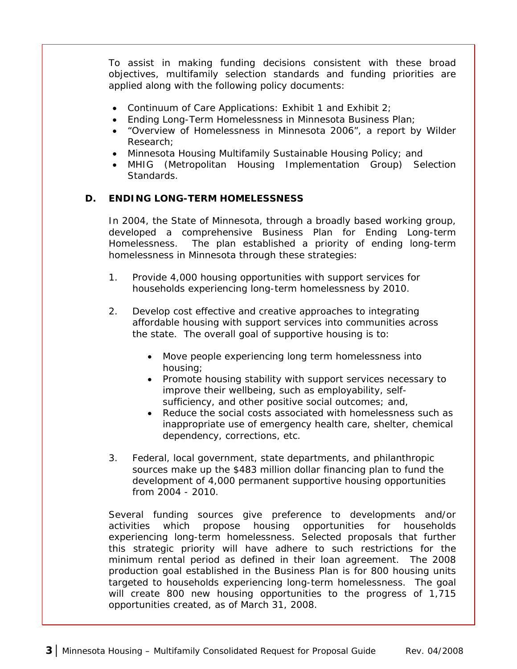<span id="page-8-0"></span>To assist in making funding decisions consistent with these broad objectives, multifamily selection standards and funding priorities are applied along with the following policy documents:

- Continuum of Care Applications: Exhibit 1 and Exhibit 2;
- Ending Long-Term Homelessness in Minnesota Business Plan;
- "Overview of Homelessness in Minnesota 2006", a report by Wilder Research;
- Minnesota Housing Multifamily Sustainable Housing Policy; and
- MHIG (Metropolitan Housing Implementation Group) Selection Standards.

## **D. ENDING LONG-TERM HOMELESSNESS**

In 2004, the State of Minnesota, through a broadly based working group, developed a comprehensive Business Plan for Ending Long-term Homelessness. The plan established a priority of ending long-term homelessness in Minnesota through these strategies:

- 1. Provide 4,000 housing opportunities with support services for households experiencing long-term homelessness by 2010.
- 2. Develop cost effective and creative approaches to integrating affordable housing with support services into communities across the state. The overall goal of supportive housing is to:
	- Move people experiencing long term homelessness into housing;
	- Promote housing stability with support services necessary to improve their wellbeing, such as employability, selfsufficiency, and other positive social outcomes; and,
	- Reduce the social costs associated with homelessness such as inappropriate use of emergency health care, shelter, chemical dependency, corrections, etc.
- 3. Federal, local government, state departments, and philanthropic sources make up the \$483 million dollar financing plan to fund the development of 4,000 permanent supportive housing opportunities from 2004 - 2010.

Several funding sources give preference to developments and/or activities which propose housing opportunities for households experiencing long-term homelessness. Selected proposals that further this strategic priority will have adhere to such restrictions for the minimum rental period as defined in their loan agreement. The 2008 production goal established in the Business Plan is for 800 housing units targeted to households experiencing long-term homelessness. The goal will create 800 new housing opportunities to the progress of 1,715 opportunities created, as of March 31, 2008.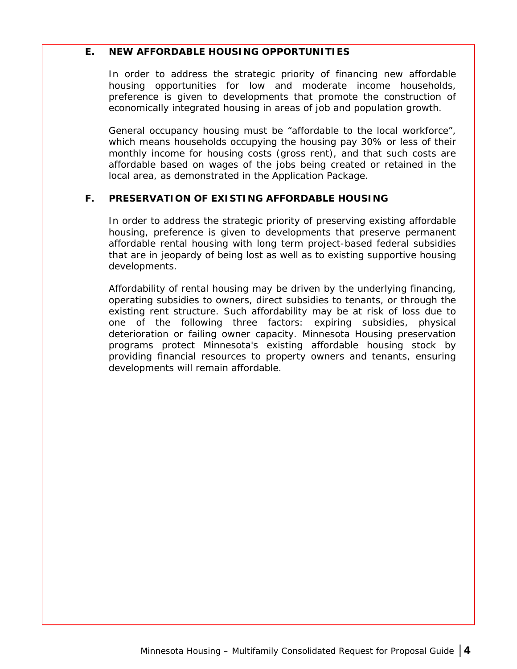#### <span id="page-9-0"></span>**E. NEW AFFORDABLE HOUSING OPPORTUNITIES**

In order to address the strategic priority of financing new affordable housing opportunities for low and moderate income households, preference is given to developments that promote the construction of economically integrated housing in areas of job and population growth.

General occupancy housing must be "affordable to the local workforce", which means households occupying the housing pay 30% or less of their monthly income for housing costs (gross rent), and that such costs are affordable based on wages of the jobs being created or retained in the local area, as demonstrated in the Application Package.

#### **F. PRESERVATION OF EXISTING AFFORDABLE HOUSING**

In order to address the strategic priority of preserving existing affordable housing, preference is given to developments that preserve permanent affordable rental housing with long term project-based federal subsidies that are in jeopardy of being lost as well as to existing supportive housing developments.

Affordability of rental housing may be driven by the underlying financing, operating subsidies to owners, direct subsidies to tenants, or through the existing rent structure. Such affordability may be at risk of loss due to one of the following three factors: expiring subsidies, physical deterioration or failing owner capacity. Minnesota Housing preservation programs protect Minnesota's existing affordable housing stock by providing financial resources to property owners and tenants, ensuring developments will remain affordable.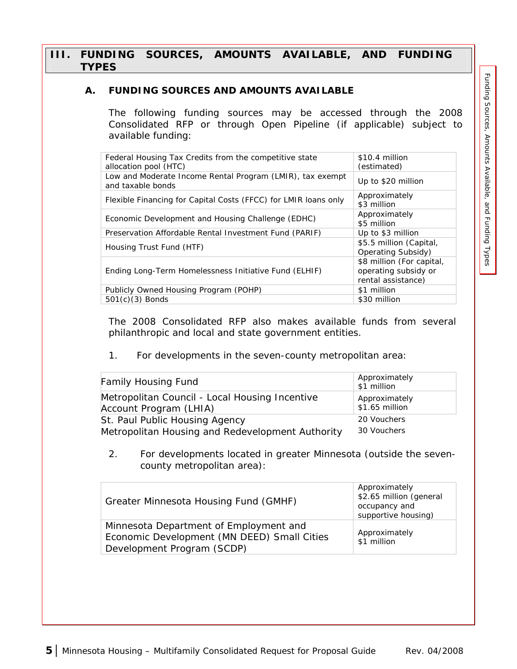## <span id="page-10-0"></span>**III. FUNDING SOURCES, AMOUNTS AVAILABLE, AND FUNDING TYPES**

## **A. FUNDING SOURCES AND AMOUNTS AVAILABLE**

The following funding sources may be accessed through the 2008 Consolidated RFP or through Open Pipeline (if applicable) subject to available funding:

| Federal Housing Tax Credits from the competitive state<br>allocation pool (HTC) | \$10.4 million<br>(estimated)                                           |
|---------------------------------------------------------------------------------|-------------------------------------------------------------------------|
| Low and Moderate Income Rental Program (LMIR), tax exempt<br>and taxable bonds  | Up to \$20 million                                                      |
| Flexible Financing for Capital Costs (FFCC) for LMIR loans only                 | Approximately<br>\$3 million                                            |
| Economic Development and Housing Challenge (EDHC)                               | Approximately<br>\$5 million                                            |
| Preservation Affordable Rental Investment Fund (PARIF)                          | Up to \$3 million                                                       |
| Housing Trust Fund (HTF)                                                        | \$5.5 million (Capital,<br>Operating Subsidy)                           |
| Ending Long-Term Homelessness Initiative Fund (ELHIF)                           | \$8 million (For capital,<br>operating subsidy or<br>rental assistance) |
| Publicly Owned Housing Program (POHP)                                           | \$1 million                                                             |
| $501(c)(3)$ Bonds                                                               | \$30 million                                                            |

The 2008 Consolidated RFP also makes available funds from several philanthropic and local and state government entities.

1. For developments in the seven-county metropolitan area:

| <b>Family Housing Fund</b>                       | Approximately<br>\$1 million |
|--------------------------------------------------|------------------------------|
| Metropolitan Council - Local Housing Incentive   | Approximately                |
| Account Program (LHIA)                           | \$1.65 million               |
| St. Paul Public Housing Agency                   | 20 Vouchers                  |
| Metropolitan Housing and Redevelopment Authority | 30 Vouchers                  |

2. For developments located in greater Minnesota (outside the sevencounty metropolitan area):

| Greater Minnesota Housing Fund (GMHF)                                                                               | Approximately<br>\$2.65 million (general<br>occupancy and<br>supportive housing) |
|---------------------------------------------------------------------------------------------------------------------|----------------------------------------------------------------------------------|
| Minnesota Department of Employment and<br>Economic Development (MN DEED) Small Cities<br>Development Program (SCDP) | Approximately<br>\$1 million                                                     |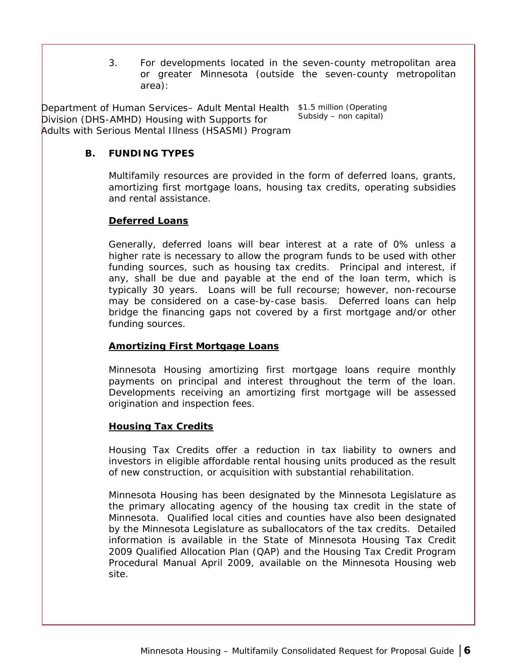3. For developments located in the seven-county metropolitan area or greater Minnesota (outside the seven-county metropolitan area):

<span id="page-11-0"></span>Department of Human Services– Adult Mental Health \$1.5 million (Operating Division (DHS-AMHD) Housing with Supports for Adults with Serious Mental Illness (HSASMI) Program Subsidy – non capital)

## **B. FUNDING TYPES**

Multifamily resources are provided in the form of deferred loans, grants, amortizing first mortgage loans, housing tax credits, operating subsidies and rental assistance.

#### **Deferred Loans**

Generally, deferred loans will bear interest at a rate of 0% unless a higher rate is necessary to allow the program funds to be used with other funding sources, such as housing tax credits. Principal and interest, if any, shall be due and payable at the end of the loan term, which is typically 30 years. Loans will be full recourse; however, non-recourse may be considered on a case-by-case basis. Deferred loans can help bridge the financing gaps not covered by a first mortgage and/or other funding sources.

## **Amortizing First Mortgage Loans**

Minnesota Housing amortizing first mortgage loans require monthly payments on principal and interest throughout the term of the loan. Developments receiving an amortizing first mortgage will be assessed origination and inspection fees.

## **Housing Tax Credits**

Housing Tax Credits offer a reduction in tax liability to owners and investors in eligible affordable rental housing units produced as the result of new construction, or acquisition with substantial rehabilitation.

Minnesota Housing has been designated by the Minnesota Legislature as the primary allocating agency of the housing tax credit in the state of Minnesota. Qualified local cities and counties have also been designated by the Minnesota Legislature as suballocators of the tax credits. Detailed information is available in the State of Minnesota Housing Tax Credit 2009 Qualified Allocation Plan (QAP) and the Housing Tax Credit Program Procedural Manual April 2009, available on the Minnesota Housing web site.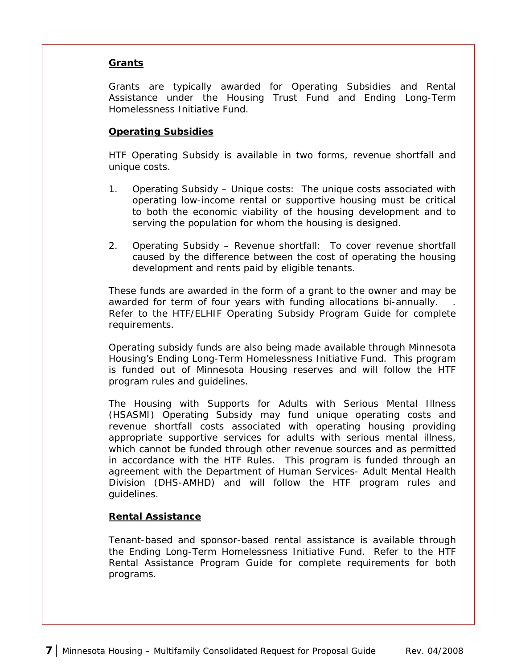#### <span id="page-12-0"></span>**Grants**

Grants are typically awarded for Operating Subsidies and Rental Assistance under the Housing Trust Fund and Ending Long-Term Homelessness Initiative Fund.

## **Operating Subsidies**

HTF Operating Subsidy is available in two forms, revenue shortfall and unique costs.

- 1. Operating Subsidy Unique costs: The unique costs associated with operating low-income rental or supportive housing must be critical to both the economic viability of the housing development and to serving the population for whom the housing is designed.
- 2. Operating Subsidy Revenue shortfall: To cover revenue shortfall caused by the difference between the cost of operating the housing development and rents paid by eligible tenants.

These funds are awarded in the form of a grant to the owner and may be awarded for term of four years with funding allocations bi-annually. Refer to the HTF/ELHIF Operating Subsidy Program Guide for complete requirements.

Operating subsidy funds are also being made available through Minnesota Housing's Ending Long-Term Homelessness Initiative Fund. This program is funded out of Minnesota Housing reserves and will follow the HTF program rules and guidelines.

The Housing with Supports for Adults with Serious Mental Illness (HSASMI) Operating Subsidy may fund unique operating costs and revenue shortfall costs associated with operating housing providing appropriate supportive services for adults with serious mental illness, which cannot be funded through other revenue sources and as permitted in accordance with the HTF Rules. This program is funded through an agreement with the Department of Human Services- Adult Mental Health Division (DHS-AMHD) and will follow the HTF program rules and guidelines.

#### **Rental Assistance**

Tenant-based and sponsor-based rental assistance is available through the Ending Long-Term Homelessness Initiative Fund. Refer to the HTF Rental Assistance Program Guide for complete requirements for both programs.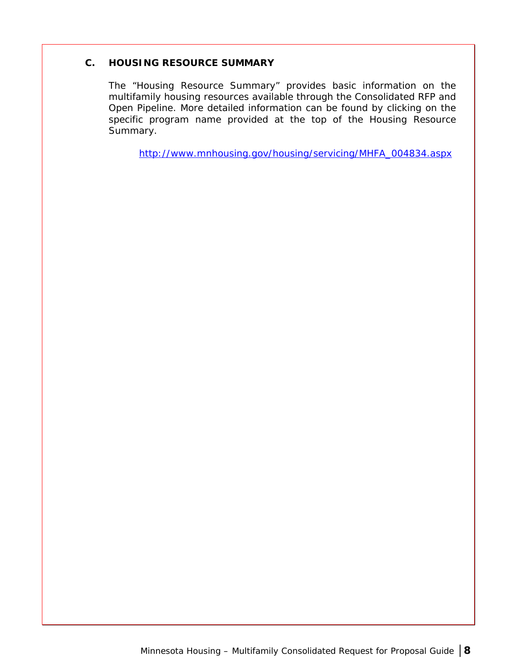#### <span id="page-13-0"></span>**C. HOUSING RESOURCE SUMMARY**

The "Housing Resource Summary" provides basic information on the multifamily housing resources available through the Consolidated RFP and Open Pipeline. More detailed information can be found by clicking on the specific program name provided at the top of the Housing Resource Summary.

[http://www.mnhousing.gov/housing/servicing/MHFA\\_004834.aspx](http://www.mnhousing.gov/housing/servicing/MHFA_004834.aspx)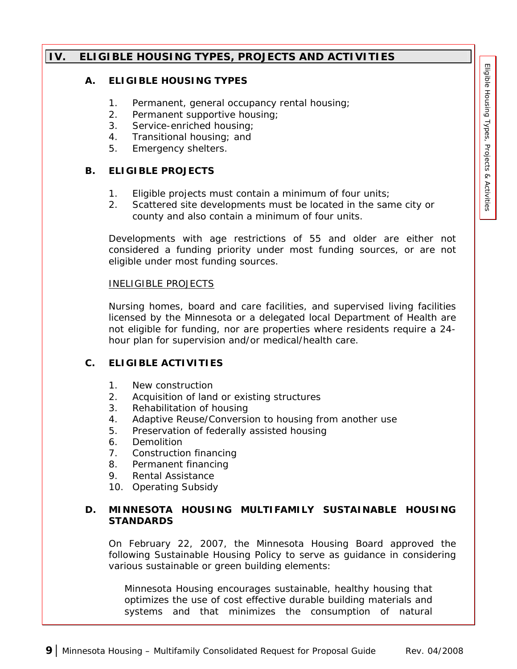## <span id="page-14-0"></span>**IV. ELIGIBLE HOUSING TYPES, PROJECTS AND ACTIVITIES**

#### **A. ELIGIBLE HOUSING TYPES**

- 1. Permanent, general occupancy rental housing;
- 2. Permanent supportive housing;
- 3. Service-enriched housing;
- 4. Transitional housing; and
- 5. Emergency shelters.

#### **B. ELIGIBLE PROJECTS**

- 1. Eligible projects must contain a minimum of four units;
- 2. Scattered site developments must be located in the same city or county and also contain a minimum of four units.

Developments with age restrictions of 55 and older are either not considered a funding priority under most funding sources, or are not eligible under most funding sources.

#### *INELIGIBLE PROJECTS*

Nursing homes, board and care facilities, and supervised living facilities licensed by the Minnesota or a delegated local Department of Health are not eligible for funding, nor are properties where residents require a 24 hour plan for supervision and/or medical/health care.

## **C. ELIGIBLE ACTIVITIES**

- 1. New construction
- 2. Acquisition of land or existing structures
- 3. Rehabilitation of housing
- 4. Adaptive Reuse/Conversion to housing from another use
- 5. Preservation of federally assisted housing
- 6. Demolition
- 7. Construction financing
- 8. Permanent financing
- 9. Rental Assistance
- 10. Operating Subsidy

#### **D. MINNESOTA HOUSING MULTIFAMILY SUSTAINABLE HOUSING STANDARDS**

On February 22, 2007, the Minnesota Housing Board approved the following Sustainable Housing Policy to serve as guidance in considering various sustainable or green building elements:

*Minnesota Housing encourages sustainable, healthy housing that optimizes the use of cost effective durable building materials and systems and that minimizes the consumption of natural*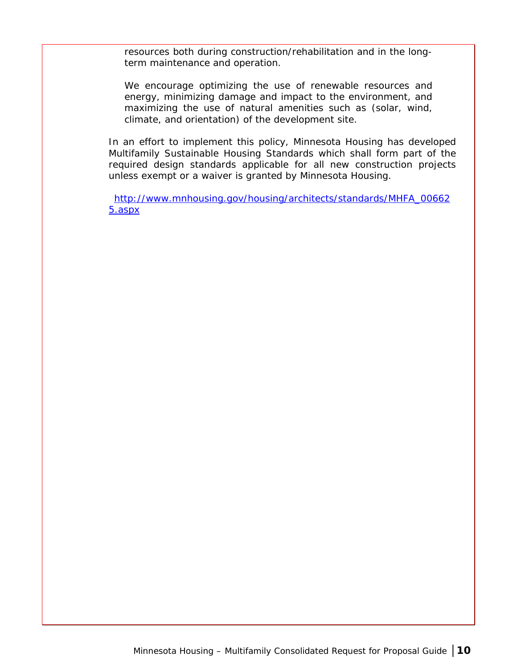*resources both during construction/rehabilitation and in the longterm maintenance and operation.* 

*We encourage optimizing the use of renewable resources and energy, minimizing damage and impact to the environment, and maximizing the use of natural amenities such as (solar, wind, climate, and orientation) of the development site.* 

In an effort to implement this policy, Minnesota Housing has developed Multifamily Sustainable Housing Standards which shall form part of the required design standards applicable for all new construction projects unless exempt or a waiver is granted by Minnesota Housing.

[http://www.mnhousing.gov/housing/architects/standards/MHFA\\_00662](http://www.mnhousing.gov/housing/architects/standards/MHFA_006625.aspx) [5.aspx](http://www.mnhousing.gov/housing/architects/standards/MHFA_006625.aspx)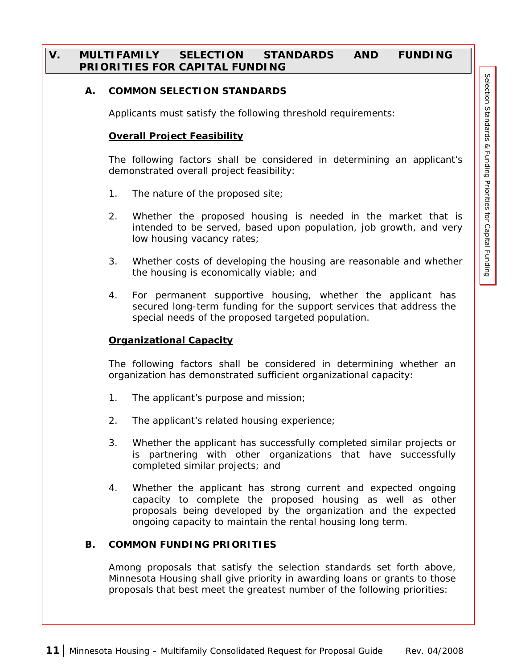## <span id="page-16-0"></span>**V. MULTIFAMILY SELECTION STANDARDS AND FUNDING PRIORITIES FOR CAPITAL FUNDING**

#### **A. COMMON SELECTION STANDARDS**

Applicants must satisfy the following threshold requirements:

#### **Overall Project Feasibility**

The following factors shall be considered in determining an applicant's demonstrated overall project feasibility:

- 1. The nature of the proposed site;
- 2. Whether the proposed housing is needed in the market that is intended to be served, based upon population, job growth, and very low housing vacancy rates;
- 3. Whether costs of developing the housing are reasonable and whether the housing is economically viable; and
- 4. For permanent supportive housing, whether the applicant has secured long-term funding for the support services that address the special needs of the proposed targeted population.

#### **Organizational Capacity**

The following factors shall be considered in determining whether an organization has demonstrated sufficient organizational capacity:

- 1. The applicant's purpose and mission;
- 2. The applicant's related housing experience;
- 3. Whether the applicant has successfully completed similar projects or is partnering with other organizations that have successfully completed similar projects; and
- 4. Whether the applicant has strong current and expected ongoing capacity to complete the proposed housing as well as other proposals being developed by the organization and the expected ongoing capacity to maintain the rental housing long term.

#### **B. COMMON FUNDING PRIORITIES**

Among proposals that satisfy the selection standards set forth above, Minnesota Housing shall give priority in awarding loans or grants to those proposals that best meet the greatest number of the following priorities: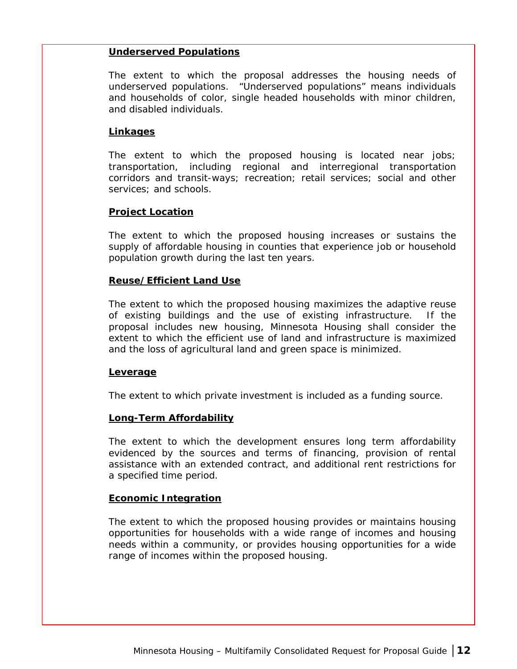#### <span id="page-17-0"></span>**Underserved Populations**

The extent to which the proposal addresses the housing needs of underserved populations. "Underserved populations" means individuals and households of color, single headed households with minor children, and disabled individuals.

#### **Linkages**

The extent to which the proposed housing is located near jobs; transportation, including regional and interregional transportation corridors and transit-ways; recreation; retail services; social and other services; and schools.

#### **Project Location**

The extent to which the proposed housing increases or sustains the supply of affordable housing in counties that experience job or household population growth during the last ten years.

#### **Reuse/Efficient Land Use**

The extent to which the proposed housing maximizes the adaptive reuse of existing buildings and the use of existing infrastructure. If the proposal includes new housing, Minnesota Housing shall consider the extent to which the efficient use of land and infrastructure is maximized and the loss of agricultural land and green space is minimized.

#### **Leverage**

The extent to which private investment is included as a funding source.

#### **Long-Term Affordability**

The extent to which the development ensures long term affordability evidenced by the sources and terms of financing, provision of rental assistance with an extended contract, and additional rent restrictions for a specified time period.

#### **Economic Integration**

The extent to which the proposed housing provides or maintains housing opportunities for households with a wide range of incomes and housing needs within a community, or provides housing opportunities for a wide range of incomes within the proposed housing.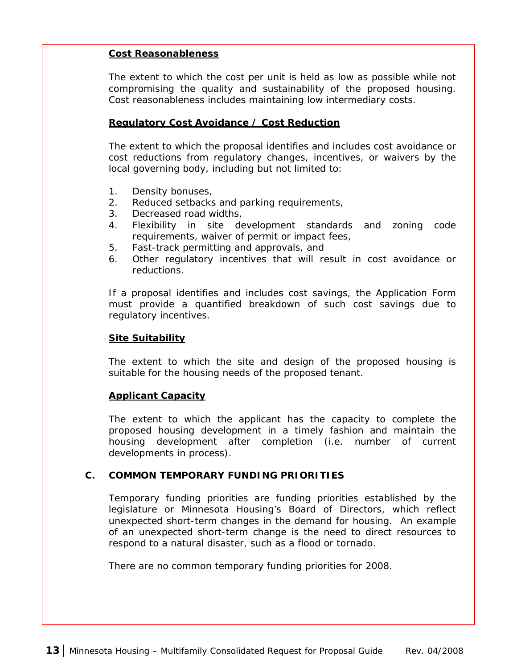#### <span id="page-18-0"></span>**Cost Reasonableness**

The extent to which the cost per unit is held as low as possible while not compromising the quality and sustainability of the proposed housing. Cost reasonableness includes maintaining low intermediary costs.

#### **Regulatory Cost Avoidance / Cost Reduction**

The extent to which the proposal identifies and includes cost avoidance or cost reductions from regulatory changes, incentives, or waivers by the local governing body, including but not limited to:

- 1. Density bonuses,
- 2. Reduced setbacks and parking requirements,
- 3. Decreased road widths,
- 4. Flexibility in site development standards and zoning code requirements, waiver of permit or impact fees,
- 5. Fast-track permitting and approvals, and
- 6. Other regulatory incentives that will result in cost avoidance or reductions.

If a proposal identifies and includes cost savings, the Application Form must provide a quantified breakdown of such cost savings due to regulatory incentives.

#### **Site Suitability**

The extent to which the site and design of the proposed housing is suitable for the housing needs of the proposed tenant.

#### **Applicant Capacity**

The extent to which the applicant has the capacity to complete the proposed housing development in a timely fashion and maintain the housing development after completion (i.e. number of current developments in process).

#### **C. COMMON TEMPORARY FUNDING PRIORITIES**

Temporary funding priorities are funding priorities established by the legislature or Minnesota Housing's Board of Directors, which reflect unexpected short-term changes in the demand for housing. An example of an unexpected short-term change is the need to direct resources to respond to a natural disaster, such as a flood or tornado.

There are no common temporary funding priorities for 2008.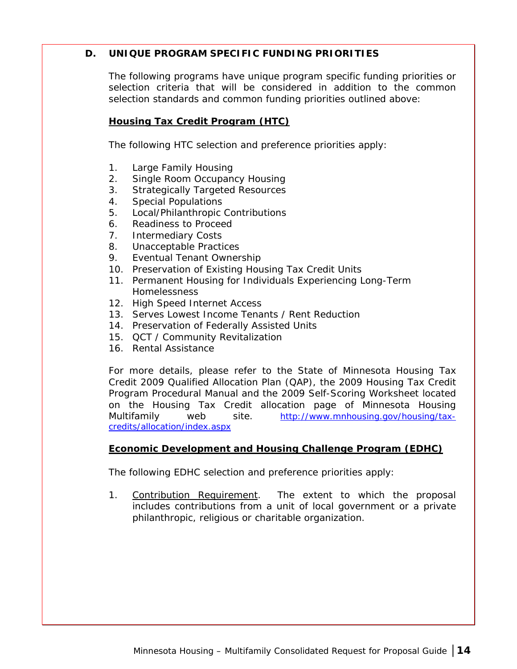## <span id="page-19-0"></span>**D. UNIQUE PROGRAM SPECIFIC FUNDING PRIORITIES**

The following programs have unique program specific funding priorities or selection criteria that will be considered in addition to the common selection standards and common funding priorities outlined above:

## **Housing Tax Credit Program (HTC)**

The following HTC selection and preference priorities apply:

- 1. Large Family Housing
- 2. Single Room Occupancy Housing
- 3. Strategically Targeted Resources
- 4. Special Populations
- 5. Local/Philanthropic Contributions
- 6. Readiness to Proceed
- 7. Intermediary Costs
- 8. Unacceptable Practices
- 9. Eventual Tenant Ownership
- 10. Preservation of Existing Housing Tax Credit Units
- 11. Permanent Housing for Individuals Experiencing Long-Term Homelessness
- 12. High Speed Internet Access
- 13. Serves Lowest Income Tenants / Rent Reduction
- 14. Preservation of Federally Assisted Units
- 15. QCT / Community Revitalization
- 16. Rental Assistance

For more details, please refer to the State of Minnesota Housing Tax Credit 2009 Qualified Allocation Plan (QAP), the 2009 Housing Tax Credit Program Procedural Manual and the 2009 Self-Scoring Worksheet located on the Housing Tax Credit allocation page of Minnesota Housing Multifamily web site. [http://www.mnhousing.gov/housing/tax](http://www.mnhousing.gov/housing/tax-credits/allocation/index.aspx)[credits/allocation/index.aspx](http://www.mnhousing.gov/housing/tax-credits/allocation/index.aspx) 

## **Economic Development and Housing Challenge Program (EDHC)**

The following EDHC selection and preference priorities apply:

1. Contribution Requirement. The extent to which the proposal includes contributions from a unit of local government or a private philanthropic, religious or charitable organization.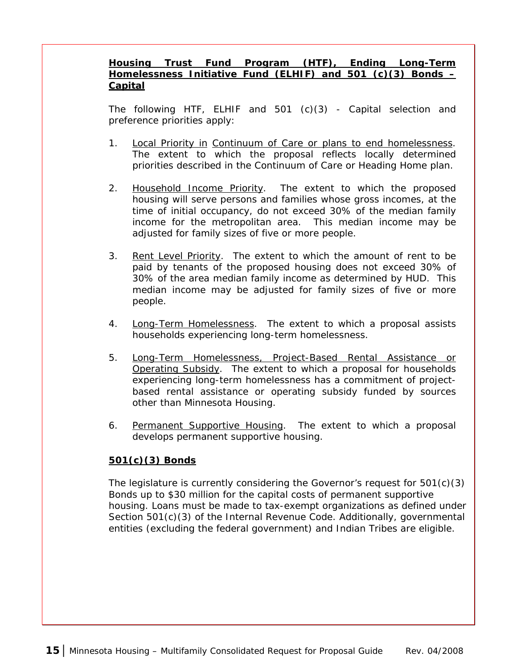## <span id="page-20-0"></span>**Housing Trust Fund Program (HTF), Ending Long-Term Homelessness Initiative Fund (ELHIF) and 501 (c)(3) Bonds – Capital**

The following HTF, ELHIF and 501 (c)(3) - Capital selection and preference priorities apply:

- 1. Local Priority in Continuum of Care or plans to end homelessness. The extent to which the proposal reflects locally determined priorities described in the Continuum of Care or Heading Home plan.
- 2. Household Income Priority. The extent to which the proposed housing will serve persons and families whose gross incomes, at the time of initial occupancy, do not exceed 30% of the median family income for the metropolitan area. This median income may be adjusted for family sizes of five or more people.
- 3. Rent Level Priority. The extent to which the amount of rent to be paid by tenants of the proposed housing does not exceed 30% of 30% of the area median family income as determined by HUD. This median income may be adjusted for family sizes of five or more people.
- 4. Long-Term Homelessness. The extent to which a proposal assists households experiencing long-term homelessness.
- 5. Long-Term Homelessness, Project-Based Rental Assistance or Operating Subsidy. The extent to which a proposal for households experiencing long-term homelessness has a commitment of projectbased rental assistance or operating subsidy funded by sources other than Minnesota Housing.
- 6. Permanent Supportive Housing. The extent to which a proposal develops permanent supportive housing.

## **501(c)(3) Bonds**

The legislature is currently considering the Governor's request for 501(c)(3) Bonds up to \$30 million for the capital costs of permanent supportive housing. Loans must be made to tax-exempt organizations as defined under Section 501(c)(3) of the Internal Revenue Code. Additionally, governmental entities (excluding the federal government) and Indian Tribes are eligible.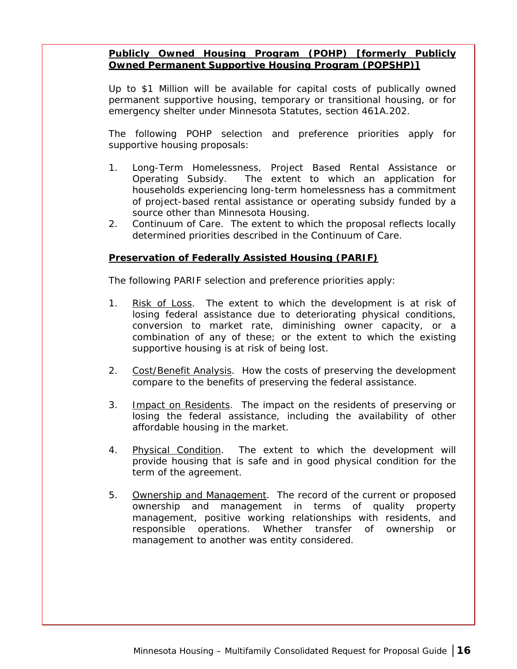## <span id="page-21-0"></span>**Publicly Owned Housing Program (POHP) [formerly Publicly Owned Permanent Supportive Housing Program (POPSHP)]**

Up to \$1 Million will be available for capital costs of publically owned permanent supportive housing, temporary or transitional housing, or for emergency shelter under Minnesota Statutes, section 461A.202.

The following POHP selection and preference priorities apply for supportive housing proposals:

- 1. Long-Term Homelessness, Project Based Rental Assistance or Operating Subsidy. The extent to which an application for households experiencing long-term homelessness has a commitment of project-based rental assistance or operating subsidy funded by a source other than Minnesota Housing.
- 2. Continuum of Care. The extent to which the proposal reflects locally determined priorities described in the Continuum of Care.

## **Preservation of Federally Assisted Housing (PARIF)**

The following PARIF selection and preference priorities apply:

- 1. Risk of Loss. The extent to which the development is at risk of losing federal assistance due to deteriorating physical conditions, conversion to market rate, diminishing owner capacity, or a combination of any of these; or the extent to which the existing supportive housing is at risk of being lost.
- 2. Cost/Benefit Analysis. How the costs of preserving the development compare to the benefits of preserving the federal assistance.
- 3. Impact on Residents. The impact on the residents of preserving or losing the federal assistance, including the availability of other affordable housing in the market.
- 4. Physical Condition. The extent to which the development will provide housing that is safe and in good physical condition for the term of the agreement.
- 5. Ownership and Management. The record of the current or proposed ownership and management in terms of quality property management, positive working relationships with residents, and responsible operations. Whether transfer of ownership or management to another was entity considered.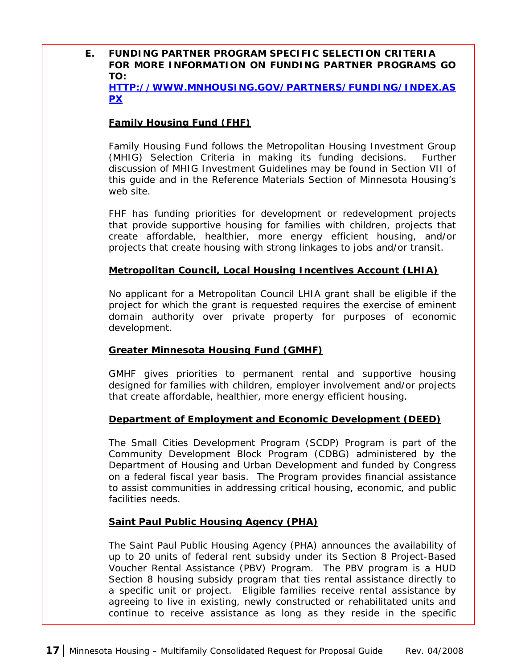## <span id="page-22-0"></span>**E. FUNDING PARTNER PROGRAM SPECIFIC SELECTION CRITERIA FOR MORE INFORMATION ON FUNDING PARTNER PROGRAMS GO TO:**

**[HTTP://WWW.MNHOUSING.GOV/PARTNERS/FUNDING/INDEX.AS](http://www.mnhousing.gov/partners/funding/index.aspx) [PX](http://www.mnhousing.gov/partners/funding/index.aspx)** 

## **Family Housing Fund (FHF)**

Family Housing Fund follows the Metropolitan Housing Investment Group (MHIG) Selection Criteria in making its funding decisions. Further discussion of MHIG Investment Guidelines may be found in Section VII of this guide and in the Reference Materials Section of Minnesota Housing's web site.

FHF has funding priorities for development or redevelopment projects that provide supportive housing for families with children, projects that create affordable, healthier, more energy efficient housing, and/or projects that create housing with strong linkages to jobs and/or transit.

#### **Metropolitan Council, Local Housing Incentives Account (LHIA)**

No applicant for a Metropolitan Council LHIA grant shall be eligible if the project for which the grant is requested requires the exercise of eminent domain authority over private property for purposes of economic development.

#### **Greater Minnesota Housing Fund (GMHF)**

GMHF gives priorities to permanent rental and supportive housing designed for families with children, employer involvement and/or projects that create affordable, healthier, more energy efficient housing.

#### **Department of Employment and Economic Development (DEED)**

The Small Cities Development Program (SCDP) Program is part of the Community Development Block Program (CDBG) administered by the Department of Housing and Urban Development and funded by Congress on a federal fiscal year basis. The Program provides financial assistance to assist communities in addressing critical housing, economic, and public facilities needs.

#### **Saint Paul Public Housing Agency (PHA)**

The Saint Paul Public Housing Agency (PHA) announces the availability of up to 20 units of federal rent subsidy under its Section 8 Project-Based Voucher Rental Assistance (PBV) Program. The PBV program is a HUD Section 8 housing subsidy program that ties rental assistance directly to a specific unit or project. Eligible families receive rental assistance by agreeing to live in existing, newly constructed or rehabilitated units and continue to receive assistance as long as they reside in the specific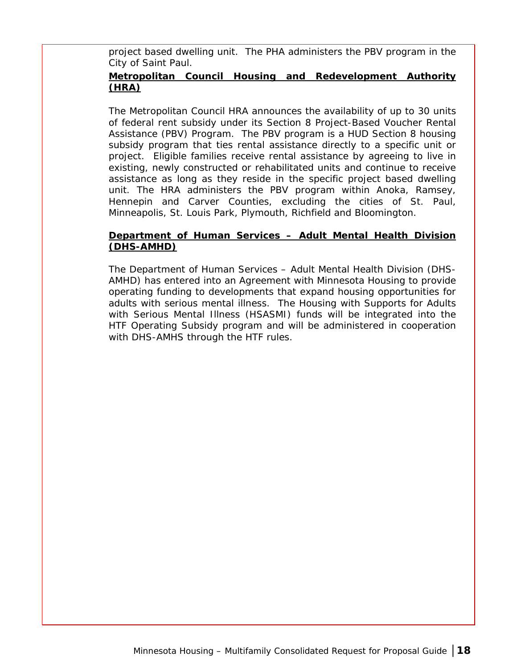<span id="page-23-0"></span>project based dwelling unit. The PHA administers the PBV program in the City of Saint Paul.

## **Metropolitan Council Housing and Redevelopment Authority (HRA)**

The Metropolitan Council HRA announces the availability of up to 30 units of federal rent subsidy under its Section 8 Project-Based Voucher Rental Assistance (PBV) Program. The PBV program is a HUD Section 8 housing subsidy program that ties rental assistance directly to a specific unit or project. Eligible families receive rental assistance by agreeing to live in existing, newly constructed or rehabilitated units and continue to receive assistance as long as they reside in the specific project based dwelling unit. The HRA administers the PBV program within Anoka, Ramsey, Hennepin and Carver Counties, excluding the cities of St. Paul, Minneapolis, St. Louis Park, Plymouth, Richfield and Bloomington.

## **Department of Human Services – Adult Mental Health Division (DHS-AMHD)**

The Department of Human Services – Adult Mental Health Division (DHS-AMHD) has entered into an Agreement with Minnesota Housing to provide operating funding to developments that expand housing opportunities for adults with serious mental illness. The Housing with Supports for Adults with Serious Mental Illness (HSASMI) funds will be integrated into the HTF Operating Subsidy program and will be administered in cooperation with DHS-AMHS through the HTF rules.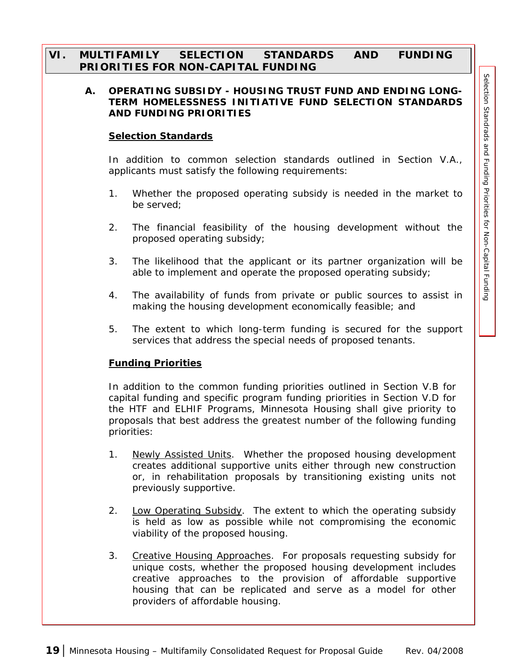## <span id="page-24-0"></span>**VI. MULTIFAMILY SELECTION STANDARDS AND FUNDING PRIORITIES FOR NON-CAPITAL FUNDING**

#### **A. OPERATING SUBSIDY - HOUSING TRUST FUND AND ENDING LONG-TERM HOMELESSNESS INITIATIVE FUND SELECTION STANDARDS AND FUNDING PRIORITIES**

#### **Selection Standards**

In addition to common selection standards outlined in Section V.A., applicants must satisfy the following requirements:

- 1. Whether the proposed operating subsidy is needed in the market to be served;
- 2. The financial feasibility of the housing development without the proposed operating subsidy;
- 3. The likelihood that the applicant or its partner organization will be able to implement and operate the proposed operating subsidy;
- 4. The availability of funds from private or public sources to assist in making the housing development economically feasible; and
- 5. The extent to which long-term funding is secured for the support services that address the special needs of proposed tenants.

#### **Funding Priorities**

In addition to the common funding priorities outlined in Section V.B for capital funding and specific program funding priorities in Section V.D for the HTF and ELHIF Programs, Minnesota Housing shall give priority to proposals that best address the greatest number of the following funding priorities:

- 1. Newly Assisted Units. Whether the proposed housing development creates additional supportive units either through new construction or, in rehabilitation proposals by transitioning existing units not previously supportive.
- 2. Low Operating Subsidy. The extent to which the operating subsidy is held as low as possible while not compromising the economic viability of the proposed housing.
- 3. Creative Housing Approaches. For proposals requesting subsidy for unique costs, whether the proposed housing development includes creative approaches to the provision of affordable supportive housing that can be replicated and serve as a model for other providers of affordable housing.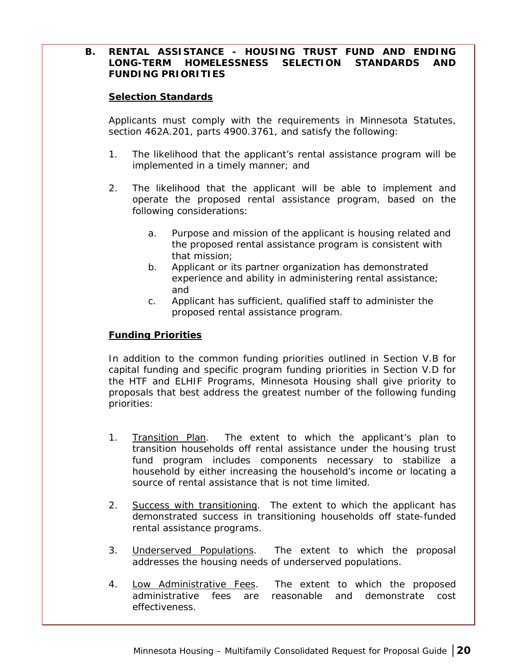#### <span id="page-25-0"></span>**B. RENTAL ASSISTANCE - HOUSING TRUST FUND AND ENDING LONG-TERM HOMELESSNESS SELECTION STANDARDS AND FUNDING PRIORITIES**

#### **Selection Standards**

Applicants must comply with the requirements in Minnesota Statutes, section 462A.201, parts 4900.3761, and satisfy the following:

- 1. The likelihood that the applicant's rental assistance program will be implemented in a timely manner; and
- 2. The likelihood that the applicant will be able to implement and operate the proposed rental assistance program, based on the following considerations:
	- a. Purpose and mission of the applicant is housing related and the proposed rental assistance program is consistent with that mission;
	- b. Applicant or its partner organization has demonstrated experience and ability in administering rental assistance; and
	- c. Applicant has sufficient, qualified staff to administer the proposed rental assistance program.

#### **Funding Priorities**

In addition to the common funding priorities outlined in Section V.B for capital funding and specific program funding priorities in Section V.D for the HTF and ELHIF Programs, Minnesota Housing shall give priority to proposals that best address the greatest number of the following funding priorities:

- 1. Transition Plan. The extent to which the applicant's plan to transition households off rental assistance under the housing trust fund program includes components necessary to stabilize a household by either increasing the household's income or locating a source of rental assistance that is not time limited.
- 2. Success with transitioning. The extent to which the applicant has demonstrated success in transitioning households off state-funded rental assistance programs.
- 3. Underserved Populations. The extent to which the proposal addresses the housing needs of underserved populations.
- 4. Low Administrative Fees. The extent to which the proposed administrative fees are reasonable and demonstrate cost effectiveness.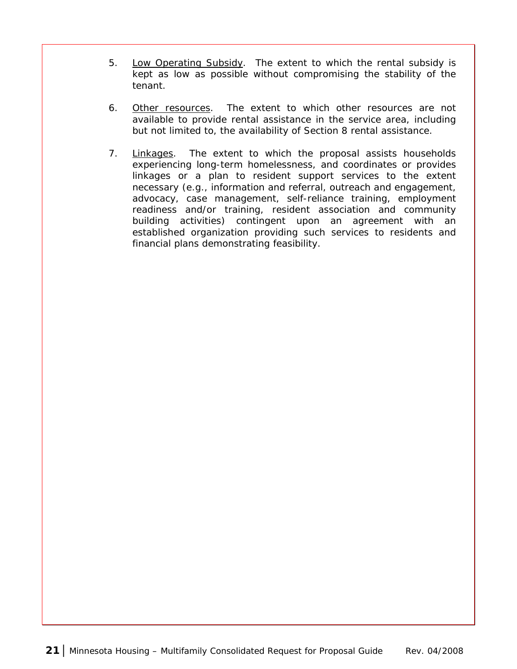- 5. Low Operating Subsidy. The extent to which the rental subsidy is kept as low as possible without compromising the stability of the tenant.
- 6. Other resources. The extent to which other resources are not available to provide rental assistance in the service area, including but not limited to, the availability of Section 8 rental assistance.
- 7. Linkages. The extent to which the proposal assists households experiencing long-term homelessness, and coordinates or provides linkages or a plan to resident support services to the extent necessary (e.g., information and referral, outreach and engagement, advocacy, case management, self-reliance training, employment readiness and/or training, resident association and community building activities) contingent upon an agreement with an established organization providing such services to residents and financial plans demonstrating feasibility.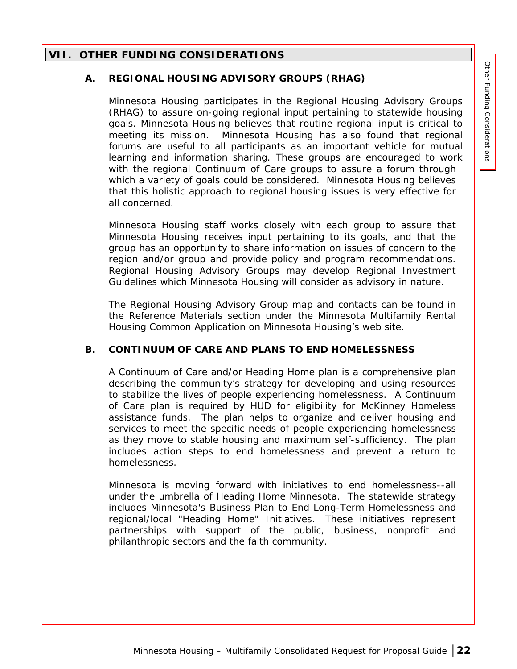## <span id="page-27-0"></span>**VII. OTHER FUNDING CONSIDERATIONS**

#### **A. REGIONAL HOUSING ADVISORY GROUPS (RHAG)**

Minnesota Housing participates in the Regional Housing Advisory Groups (RHAG) to assure on-going regional input pertaining to statewide housing goals. Minnesota Housing believes that routine regional input is critical to meeting its mission. Minnesota Housing has also found that regional forums are useful to all participants as an important vehicle for mutual learning and information sharing. These groups are encouraged to work with the regional Continuum of Care groups to assure a forum through which a variety of goals could be considered. Minnesota Housing believes that this holistic approach to regional housing issues is very effective for all concerned.

Minnesota Housing staff works closely with each group to assure that Minnesota Housing receives input pertaining to its goals, and that the group has an opportunity to share information on issues of concern to the region and/or group and provide policy and program recommendations. Regional Housing Advisory Groups may develop Regional Investment Guidelines which Minnesota Housing will consider as advisory in nature.

The Regional Housing Advisory Group map and contacts can be found in the Reference Materials section under the Minnesota Multifamily Rental Housing Common Application on Minnesota Housing's web site.

#### **B. CONTINUUM OF CARE AND PLANS TO END HOMELESSNESS**

A Continuum of Care and/or Heading Home plan is a comprehensive plan describing the community's strategy for developing and using resources to stabilize the lives of people experiencing homelessness. A Continuum of Care plan is required by HUD for eligibility for McKinney Homeless assistance funds. The plan helps to organize and deliver housing and services to meet the specific needs of people experiencing homelessness as they move to stable housing and maximum self-sufficiency. The plan includes action steps to end homelessness and prevent a return to homelessness.

Minnesota is moving forward with initiatives to end homelessness--all under the umbrella of Heading Home Minnesota. The statewide strategy includes Minnesota's Business Plan to End Long-Term Homelessness and regional/local "Heading Home" Initiatives. These initiatives represent partnerships with support of the public, business, nonprofit and philanthropic sectors and the faith community.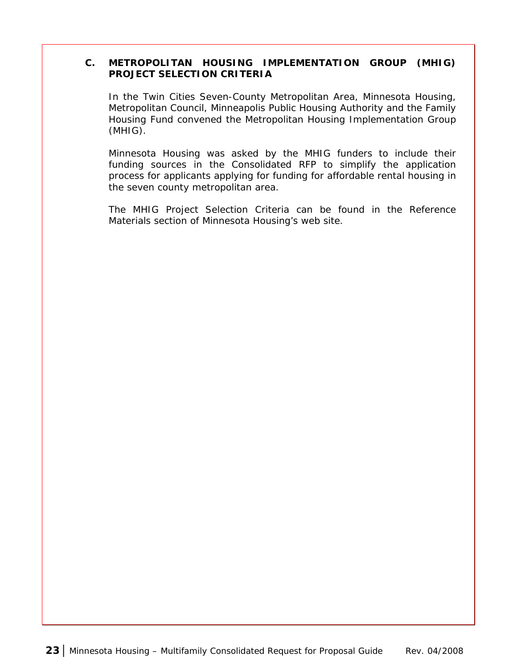#### <span id="page-28-0"></span>**C. METROPOLITAN HOUSING IMPLEMENTATION GROUP (MHIG) PROJECT SELECTION CRITERIA**

In the Twin Cities Seven-County Metropolitan Area, Minnesota Housing, Metropolitan Council, Minneapolis Public Housing Authority and the Family Housing Fund convened the Metropolitan Housing Implementation Group (MHIG).

Minnesota Housing was asked by the MHIG funders to include their funding sources in the Consolidated RFP to simplify the application process for applicants applying for funding for affordable rental housing in the seven county metropolitan area.

The MHIG Project Selection Criteria can be found in the Reference Materials section of Minnesota Housing's web site.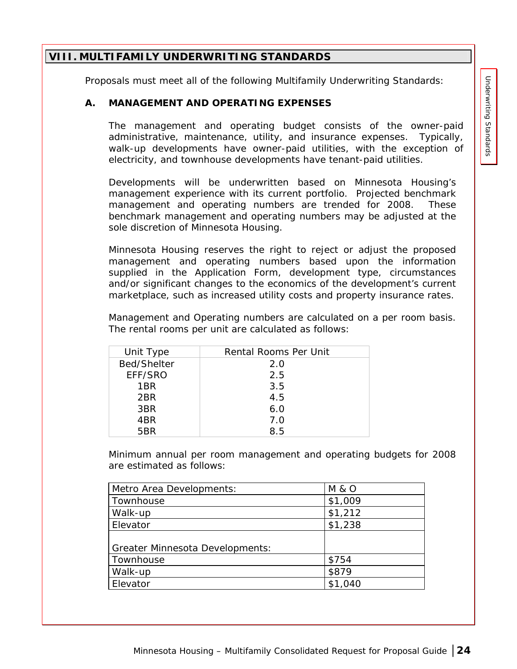## <span id="page-29-0"></span>**VIII. MULTIFAMILY UNDERWRITING STANDARDS**

Proposals must meet all of the following Multifamily Underwriting Standards:

#### **A. MANAGEMENT AND OPERATING EXPENSES**

The management and operating budget consists of the owner-paid administrative, maintenance, utility, and insurance expenses. Typically, walk-up developments have owner-paid utilities, with the exception of electricity, and townhouse developments have tenant-paid utilities.

Developments will be underwritten based on Minnesota Housing's management experience with its current portfolio. Projected benchmark management and operating numbers are trended for 2008. These benchmark management and operating numbers may be adjusted at the sole discretion of Minnesota Housing.

Minnesota Housing reserves the right to reject or adjust the proposed management and operating numbers based upon the information supplied in the Application Form, development type, circumstances and/or significant changes to the economics of the development's current marketplace, such as increased utility costs and property insurance rates.

Management and Operating numbers are calculated on a per room basis. The rental rooms per unit are calculated as follows:

| Unit Type       | Rental Rooms Per Unit |
|-----------------|-----------------------|
| Bed/Shelter     | 2.0                   |
| EFF/SRO         | 2.5                   |
| 1BR             | 3.5                   |
| 2BR             | 4.5                   |
| 3BR             | 6.0                   |
| 4BR             | 7.0                   |
| 5 <sub>RR</sub> | 8.5                   |

Minimum annual per room management and operating budgets for 2008 are estimated as follows:

| <b>M &amp; O</b> |
|------------------|
| \$1,009          |
| \$1,212          |
| \$1,238          |
|                  |
|                  |
| \$754            |
| \$879            |
| \$1,040          |
|                  |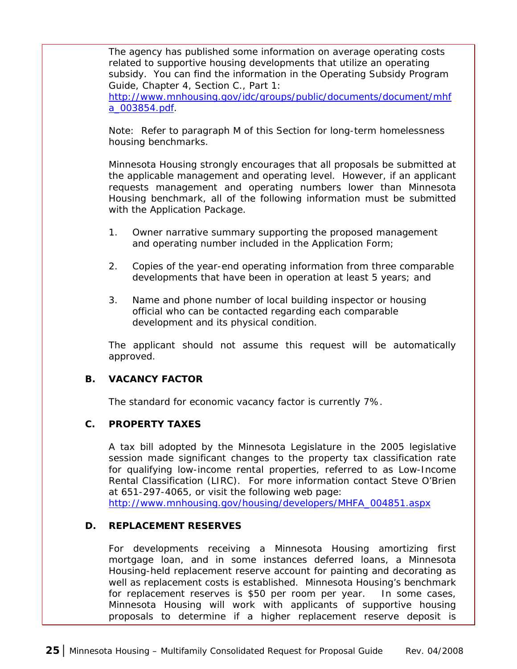<span id="page-30-0"></span>The agency has published some information on average operating costs related to supportive housing developments that utilize an operating subsidy. You can find the information in the Operating Subsidy Program Guide, Chapter 4, Section C., Part 1:

[http://www.mnhousing.gov/idc/groups/public/documents/document/mhf](http://www.mnhousing.gov/idc/groups/public/documents/document/mhfa_003854.pdf) [a\\_003854.pdf.](http://www.mnhousing.gov/idc/groups/public/documents/document/mhfa_003854.pdf)

Note: Refer to paragraph M of this Section for long-term homelessness housing benchmarks.

Minnesota Housing strongly encourages that all proposals be submitted at the applicable management and operating level. However, if an applicant requests management and operating numbers lower than Minnesota Housing benchmark, all of the following information must be submitted with the Application Package.

- 1. Owner narrative summary supporting the proposed management and operating number included in the Application Form;
- 2. Copies of the year-end operating information from three comparable developments that have been in operation at least 5 years; and
- 3. Name and phone number of local building inspector or housing official who can be contacted regarding each comparable development and its physical condition.

The applicant should not assume this request will be automatically approved.

#### **B. VACANCY FACTOR**

The standard for economic vacancy factor is currently 7%.

#### **C. PROPERTY TAXES**

A tax bill adopted by the Minnesota Legislature in the 2005 legislative session made significant changes to the property tax classification rate for qualifying low-income rental properties, referred to as Low-Income Rental Classification (LIRC). For more information contact Steve O'Brien at 651-297-4065, or visit the following web page:

[http://www.mnhousing.gov/housing/developers/MHFA\\_004851.aspx](http://www.mnhousing.gov/housing/developers/MHFA_004851.aspx)

#### **D. REPLACEMENT RESERVES**

For developments receiving a Minnesota Housing amortizing first mortgage loan, and in some instances deferred loans, a Minnesota Housing-held replacement reserve account for painting and decorating as well as replacement costs is established. Minnesota Housing's benchmark for replacement reserves is \$50 per room per year. In some cases, Minnesota Housing will work with applicants of supportive housing proposals to determine if a higher replacement reserve deposit is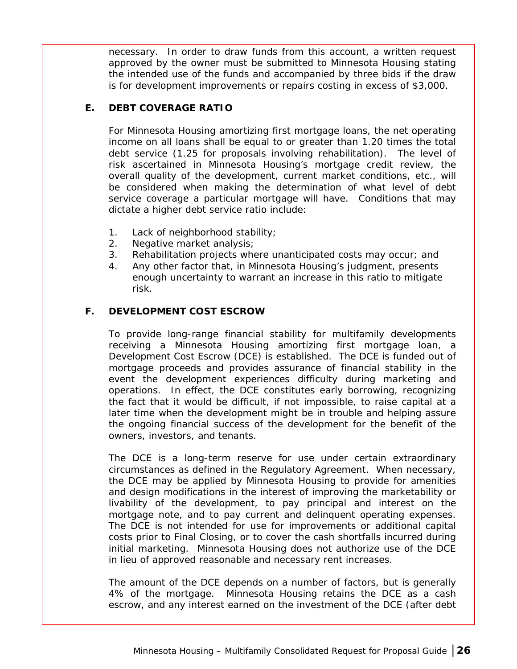<span id="page-31-0"></span>necessary. In order to draw funds from this account, a written request approved by the owner must be submitted to Minnesota Housing stating the intended use of the funds and accompanied by three bids if the draw is for development improvements or repairs costing in excess of \$3,000.

#### **E. DEBT COVERAGE RATIO**

For Minnesota Housing amortizing first mortgage loans, the net operating income on all loans shall be equal to or greater than 1.20 times the total debt service (1.25 for proposals involving rehabilitation). The level of risk ascertained in Minnesota Housing's mortgage credit review, the overall quality of the development, current market conditions, etc., will be considered when making the determination of what level of debt service coverage a particular mortgage will have. Conditions that may dictate a higher debt service ratio include:

- 1. Lack of neighborhood stability;
- 2. Negative market analysis;
- 3. Rehabilitation projects where unanticipated costs may occur; and
- 4. Any other factor that, in Minnesota Housing's judgment, presents enough uncertainty to warrant an increase in this ratio to mitigate risk.

#### **F. DEVELOPMENT COST ESCROW**

To provide long-range financial stability for multifamily developments receiving a Minnesota Housing amortizing first mortgage loan, a Development Cost Escrow (DCE) is established. The DCE is funded out of mortgage proceeds and provides assurance of financial stability in the event the development experiences difficulty during marketing and operations. In effect, the DCE constitutes early borrowing, recognizing the fact that it would be difficult, if not impossible, to raise capital at a later time when the development might be in trouble and helping assure the ongoing financial success of the development for the benefit of the owners, investors, and tenants.

The DCE is a long-term reserve for use under certain extraordinary circumstances as defined in the Regulatory Agreement. When necessary, the DCE may be applied by Minnesota Housing to provide for amenities and design modifications in the interest of improving the marketability or livability of the development, to pay principal and interest on the mortgage note, and to pay current and delinquent operating expenses. The DCE is not intended for use for improvements or additional capital costs prior to Final Closing, or to cover the cash shortfalls incurred during initial marketing. Minnesota Housing does not authorize use of the DCE in lieu of approved reasonable and necessary rent increases.

The amount of the DCE depends on a number of factors, but is generally 4% of the mortgage. Minnesota Housing retains the DCE as a cash escrow, and any interest earned on the investment of the DCE (after debt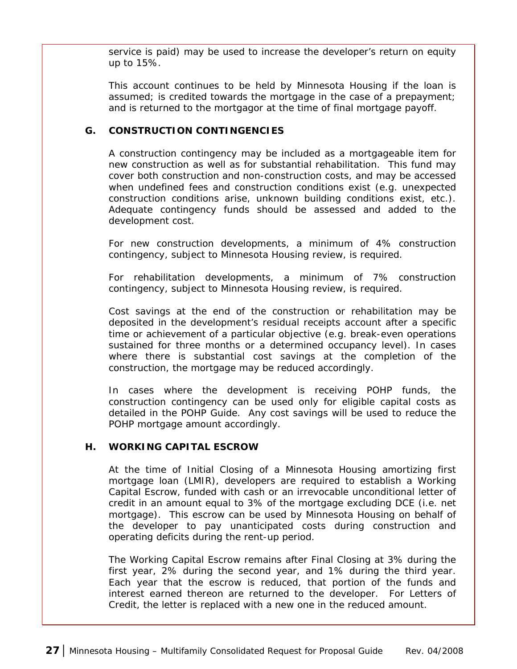<span id="page-32-0"></span>service is paid) may be used to increase the developer's return on equity up to 15%.

This account continues to be held by Minnesota Housing if the loan is assumed; is credited towards the mortgage in the case of a prepayment; and is returned to the mortgagor at the time of final mortgage payoff.

## **G. CONSTRUCTION CONTINGENCIES**

A construction contingency may be included as a mortgageable item for new construction as well as for substantial rehabilitation. This fund may cover both construction and non-construction costs, and may be accessed when undefined fees and construction conditions exist (e.g. unexpected construction conditions arise, unknown building conditions exist, etc.). Adequate contingency funds should be assessed and added to the development cost.

For new construction developments, a minimum of 4% construction contingency, subject to Minnesota Housing review, is required.

For rehabilitation developments, a minimum of 7% construction contingency, subject to Minnesota Housing review, is required.

Cost savings at the end of the construction or rehabilitation may be deposited in the development's residual receipts account after a specific time or achievement of a particular objective (e.g. break-even operations sustained for three months or a determined occupancy level). In cases where there is substantial cost savings at the completion of the construction, the mortgage may be reduced accordingly.

In cases where the development is receiving POHP funds, the construction contingency can be used only for eligible capital costs as detailed in the POHP Guide. Any cost savings will be used to reduce the POHP mortgage amount accordingly.

#### **H. WORKING CAPITAL ESCROW**

At the time of Initial Closing of a Minnesota Housing amortizing first mortgage loan (LMIR), developers are required to establish a Working Capital Escrow, funded with cash or an irrevocable unconditional letter of credit in an amount equal to 3% of the mortgage excluding DCE (i.e. net mortgage). This escrow can be used by Minnesota Housing on behalf of the developer to pay unanticipated costs during construction and operating deficits during the rent-up period.

The Working Capital Escrow remains after Final Closing at 3% during the first year, 2% during the second year, and 1% during the third year. Each year that the escrow is reduced, that portion of the funds and interest earned thereon are returned to the developer. For Letters of Credit, the letter is replaced with a new one in the reduced amount.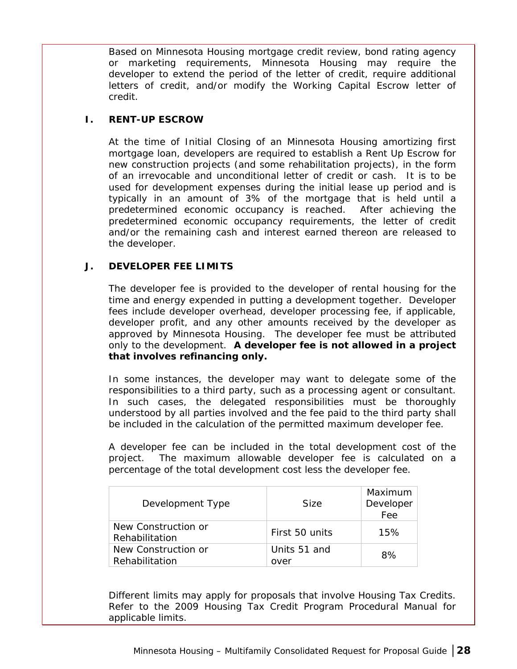<span id="page-33-0"></span>Based on Minnesota Housing mortgage credit review, bond rating agency or marketing requirements, Minnesota Housing may require the developer to extend the period of the letter of credit, require additional letters of credit, and/or modify the Working Capital Escrow letter of credit.

#### **I. RENT-UP ESCROW**

At the time of Initial Closing of an Minnesota Housing amortizing first mortgage loan, developers are required to establish a Rent Up Escrow for new construction projects (and some rehabilitation projects), in the form of an irrevocable and unconditional letter of credit or cash. It is to be used for development expenses during the initial lease up period and is typically in an amount of 3% of the mortgage that is held until a predetermined economic occupancy is reached. After achieving the predetermined economic occupancy requirements, the letter of credit and/or the remaining cash and interest earned thereon are released to the developer.

#### **J. DEVELOPER FEE LIMITS**

The developer fee is provided to the developer of rental housing for the time and energy expended in putting a development together. Developer fees include developer overhead, developer processing fee, if applicable, developer profit, and any other amounts received by the developer as approved by Minnesota Housing. The developer fee must be attributed only to the development. **A developer fee is not allowed in a project that involves refinancing only.**

In some instances, the developer may want to delegate some of the responsibilities to a third party, such as a processing agent or consultant. In such cases, the delegated responsibilities must be thoroughly understood by all parties involved and the fee paid to the third party shall be included in the calculation of the permitted maximum developer fee.

A developer fee can be included in the total development cost of the project. The maximum allowable developer fee is calculated on a percentage of the total development cost less the developer fee.

| Development Type                      | <b>Size</b>          | Maximum<br>Developer<br>Fee |
|---------------------------------------|----------------------|-----------------------------|
| New Construction or<br>Rehabilitation | First 50 units       | 15%                         |
| New Construction or<br>Rehabilitation | Units 51 and<br>over | 8%                          |

Different limits may apply for proposals that involve Housing Tax Credits. Refer to the 2009 Housing Tax Credit Program Procedural Manual for applicable limits.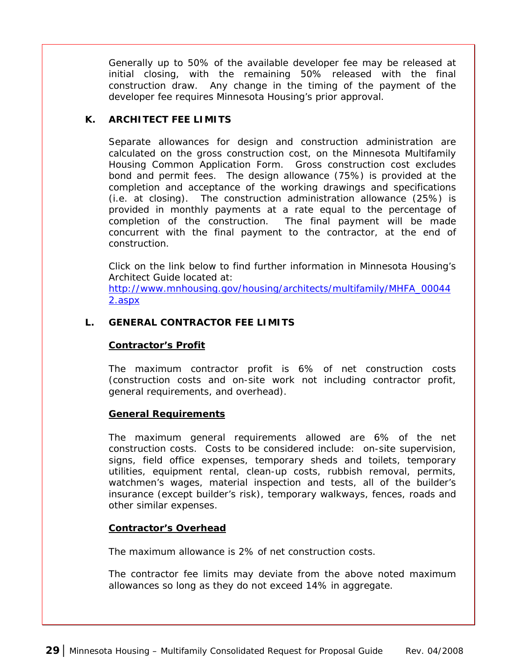<span id="page-34-0"></span>Generally up to 50% of the available developer fee may be released at initial closing, with the remaining 50% released with the final construction draw. Any change in the timing of the payment of the developer fee requires Minnesota Housing's prior approval.

#### **K. ARCHITECT FEE LIMITS**

Separate allowances for design and construction administration are calculated on the gross construction cost, on the Minnesota Multifamily Housing Common Application Form. Gross construction cost excludes bond and permit fees. The design allowance (75%) is provided at the completion and acceptance of the working drawings and specifications (i.e. at closing). The construction administration allowance (25%) is provided in monthly payments at a rate equal to the percentage of completion of the construction. The final payment will be made concurrent with the final payment to the contractor, at the end of construction.

Click on the link below to find further information in Minnesota Housing's Architect Guide located at:

[http://www.mnhousing.gov/housing/architects/multifamily/MHFA\\_00044](http://www.mnhousing.gov/housing/architects/multifamily/MHFA_000442.aspx) [2.aspx](http://www.mnhousing.gov/housing/architects/multifamily/MHFA_000442.aspx) 

## **L. GENERAL CONTRACTOR FEE LIMITS**

#### **Contractor's Profit**

The maximum contractor profit is 6% of net construction costs (construction costs and on-site work not including contractor profit, general requirements, and overhead).

#### **General Requirements**

The maximum general requirements allowed are 6% of the net construction costs. Costs to be considered include: on-site supervision, signs, field office expenses, temporary sheds and toilets, temporary utilities, equipment rental, clean-up costs, rubbish removal, permits, watchmen's wages, material inspection and tests, all of the builder's insurance (except builder's risk), temporary walkways, fences, roads and other similar expenses.

#### **Contractor's Overhead**

The maximum allowance is 2% of net construction costs.

The contractor fee limits may deviate from the above noted maximum allowances so long as they do not exceed 14% in aggregate.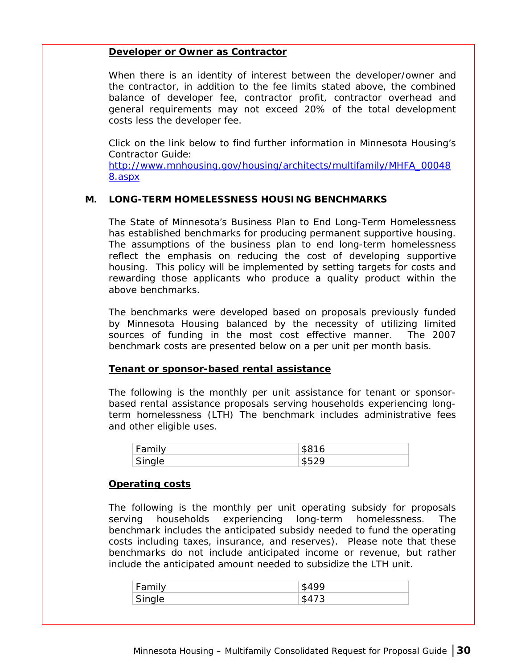#### <span id="page-35-0"></span>**Developer or Owner as Contractor**

When there is an identity of interest between the developer/owner and the contractor, in addition to the fee limits stated above, the combined balance of developer fee, contractor profit, contractor overhead and general requirements may not exceed 20% of the total development costs less the developer fee.

Click on the link below to find further information in Minnesota Housing's Contractor Guide:

[http://www.mnhousing.gov/housing/architects/multifamily/MHFA\\_00048](http://www.mnhousing.gov/housing/architects/multifamily/MHFA_000488.aspx) [8.aspx](http://www.mnhousing.gov/housing/architects/multifamily/MHFA_000488.aspx) 

#### **M. LONG-TERM HOMELESSNESS HOUSING BENCHMARKS**

The State of Minnesota's Business Plan to End Long-Term Homelessness has established benchmarks for producing permanent supportive housing. The assumptions of the business plan to end long-term homelessness reflect the emphasis on reducing the cost of developing supportive housing. This policy will be implemented by setting targets for costs and rewarding those applicants who produce a quality product within the above benchmarks.

The benchmarks were developed based on proposals previously funded by Minnesota Housing balanced by the necessity of utilizing limited sources of funding in the most cost effective manner. The 2007 benchmark costs are presented below on a per unit per month basis.

#### **Tenant or sponsor-based rental assistance**

The following is the monthly per unit assistance for tenant or sponsorbased rental assistance proposals serving households experiencing longterm homelessness (LTH) The benchmark includes administrative fees and other eligible uses.

| Family | \$816 |
|--------|-------|
| Single | よらつの  |

#### **Operating costs**

The following is the monthly per unit operating subsidy for proposals serving households experiencing long-term homelessness. The benchmark includes the anticipated subsidy needed to fund the operating costs including taxes, insurance, and reserves). Please note that these benchmarks do not include anticipated income or revenue, but rather include the anticipated amount needed to subsidize the LTH unit.

| Family | 42 Y.A |
|--------|--------|
| Single |        |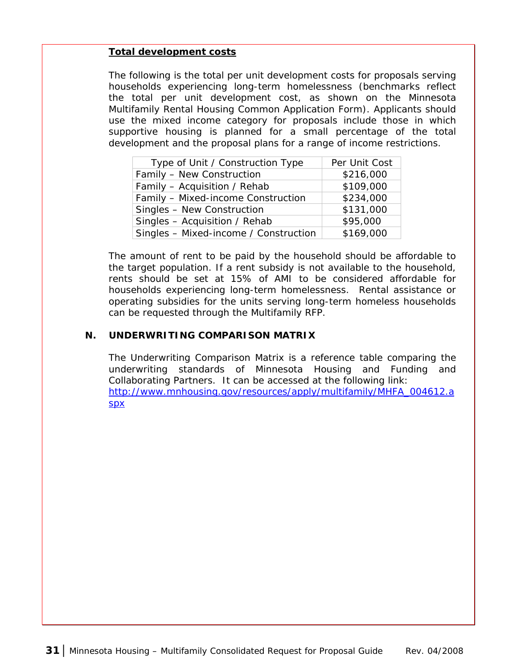#### <span id="page-36-0"></span>**Total development costs**

The following is the total per unit development costs for proposals serving households experiencing long-term homelessness (benchmarks reflect the total per unit development cost, as shown on the Minnesota Multifamily Rental Housing Common Application Form). Applicants should use the mixed income category for proposals include those in which supportive housing is planned for a small percentage of the total development and the proposal plans for a range of income restrictions.

| Type of Unit / Construction Type      | Per Unit Cost |
|---------------------------------------|---------------|
| Family - New Construction             | \$216,000     |
| Family - Acquisition / Rehab          | \$109,000     |
| Family - Mixed-income Construction    | \$234,000     |
| Singles - New Construction            | \$131,000     |
| Singles - Acquisition / Rehab         | \$95,000      |
| Singles - Mixed-income / Construction | \$169,000     |

The amount of rent to be paid by the household should be affordable to the target population. If a rent subsidy is not available to the household, rents should be set at 15% of AMI to be considered affordable for households experiencing long-term homelessness. Rental assistance or operating subsidies for the units serving long-term homeless households can be requested through the Multifamily RFP.

#### **N. UNDERWRITING COMPARISON MATRIX**

The Underwriting Comparison Matrix is a reference table comparing the underwriting standards of Minnesota Housing and Funding and Collaborating Partners. It can be accessed at the following link: [http://www.mnhousing.gov/resources/apply/multifamily/MHFA\\_004612.a](http://www.mnhousing.gov/resources/apply/multifamily/MHFA_004612.aspx) [spx](http://www.mnhousing.gov/resources/apply/multifamily/MHFA_004612.aspx)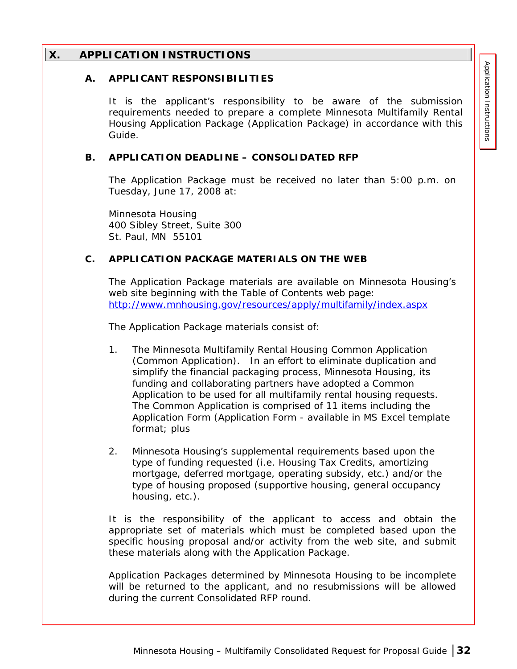## <span id="page-37-0"></span>**X. APPLICATION INSTRUCTIONS**

#### **A. APPLICANT RESPONSIBILITIES**

It is the applicant's responsibility to be aware of the submission requirements needed to prepare a complete Minnesota Multifamily Rental Housing Application Package (Application Package) in accordance with this Guide.

#### **B. APPLICATION DEADLINE – CONSOLIDATED RFP**

The Application Package must be received no later than 5:00 p.m. on Tuesday, June 17, 2008 at:

Minnesota Housing 400 Sibley Street, Suite 300 St. Paul, MN 55101

#### **C. APPLICATION PACKAGE MATERIALS ON THE WEB**

The Application Package materials are available on Minnesota Housing's web site beginning with the Table of Contents web page: <http://www.mnhousing.gov/resources/apply/multifamily/index.aspx>

The Application Package materials consist of:

- 1. The Minnesota Multifamily Rental Housing Common Application (Common Application). In an effort to eliminate duplication and simplify the financial packaging process, Minnesota Housing, its funding and collaborating partners have adopted a Common Application to be used for all multifamily rental housing requests. The Common Application is comprised of 11 items including the Application Form (Application Form - available in MS Excel template format; plus
- 2. Minnesota Housing's supplemental requirements based upon the type of funding requested (i.e. Housing Tax Credits, amortizing mortgage, deferred mortgage, operating subsidy, etc.) and/or the type of housing proposed (supportive housing, general occupancy housing, etc.).

It is the responsibility of the applicant to access and obtain the appropriate set of materials which must be completed based upon the specific housing proposal and/or activity from the web site, and submit these materials along with the Application Package.

Application Packages determined by Minnesota Housing to be incomplete will be returned to the applicant, and no resubmissions will be allowed during the current Consolidated RFP round.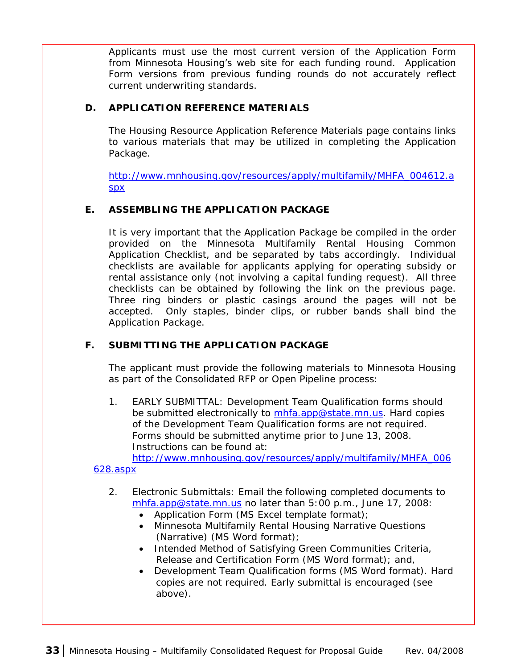<span id="page-38-0"></span>Applicants must use the most current version of the Application Form from Minnesota Housing's web site for each funding round. Application Form versions from previous funding rounds do not accurately reflect current underwriting standards.

## **D. APPLICATION REFERENCE MATERIALS**

The Housing Resource Application Reference Materials page contains links to various materials that may be utilized in completing the Application Package.

[http://www.mnhousing.gov/resources/apply/multifamily/MHFA\\_004612.a](http://www.mnhousing.gov/resources/apply/multifamily/MHFA_004612.aspx) [spx](http://www.mnhousing.gov/resources/apply/multifamily/MHFA_004612.aspx) 

## **E. ASSEMBLING THE APPLICATION PACKAGE**

It is very important that the Application Package be compiled in the order provided on the Minnesota Multifamily Rental Housing Common Application Checklist, and be separated by tabs accordingly. Individual checklists are available for applicants applying for operating subsidy or rental assistance only (not involving a capital funding request). All three checklists can be obtained by following the link on the previous page. Three ring binders or plastic casings around the pages will not be accepted. Only staples, binder clips, or rubber bands shall bind the Application Package.

## **F. SUBMITTING THE APPLICATION PACKAGE**

The applicant must provide the following materials to Minnesota Housing as part of the Consolidated RFP or Open Pipeline process:

1. EARLY SUBMITTAL: Development Team Qualification forms should be submitted electronically to [mhfa.app@state.mn.us.](mailto:mhfa.app@state.mn.us) Hard copies of the Development Team Qualification forms are not required. Forms should be submitted anytime prior to June 13, 2008. Instructions can be found at:

[http://www.mnhousing.gov/resources/apply/multifamily/MHFA\\_006](http://www.mnhousing.gov/resources/apply/multifamily/MHFA_006628.aspx)

## [628.aspx](http://www.mnhousing.gov/resources/apply/multifamily/MHFA_006628.aspx)

- 2. Electronic Submittals: Email the following completed documents to [mhfa.app@state.mn.us](mailto:mhfa.app@state.mn.us) no later than 5:00 p.m., June 17, 2008:
	- Application Form (MS Excel template format);
	- Minnesota Multifamily Rental Housing Narrative Questions (Narrative) (MS Word format);
	- Intended Method of Satisfying Green Communities Criteria, Release and Certification Form (MS Word format); and,
	- Development Team Qualification forms (MS Word format). Hard copies are not required. Early submittal is encouraged (see above).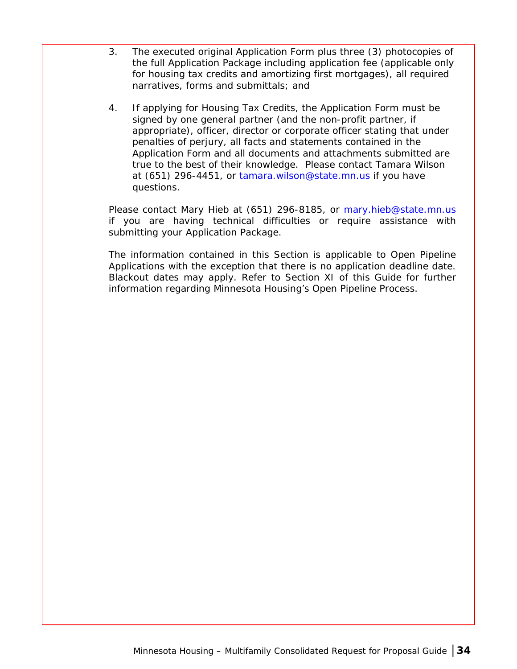- 3. The executed original Application Form plus three (3) photocopies of the full Application Package including application fee (applicable only for housing tax credits and amortizing first mortgages), all required narratives, forms and submittals; and
- 4. If applying for Housing Tax Credits, the Application Form must be signed by one general partner (and the non-profit partner, if appropriate), officer, director or corporate officer stating that under penalties of perjury, all facts and statements contained in the Application Form and all documents and attachments submitted are true to the best of their knowledge. Please contact Tamara Wilson at (651) 296-4451, or [tamara.wilson@state.mn.us](mailto:tamara.wilson@state.mn.us) if you have questions.

Please contact Mary Hieb at (651) 296-8185, or [mary.hieb@state.mn.us](mailto:mary.hieb@state.mn.us) if you are having technical difficulties or require assistance with submitting your Application Package.

The information contained in this Section is applicable to Open Pipeline Applications with the exception that there is no application deadline date. Blackout dates may apply. Refer to Section XI of this Guide for further information regarding Minnesota Housing's Open Pipeline Process.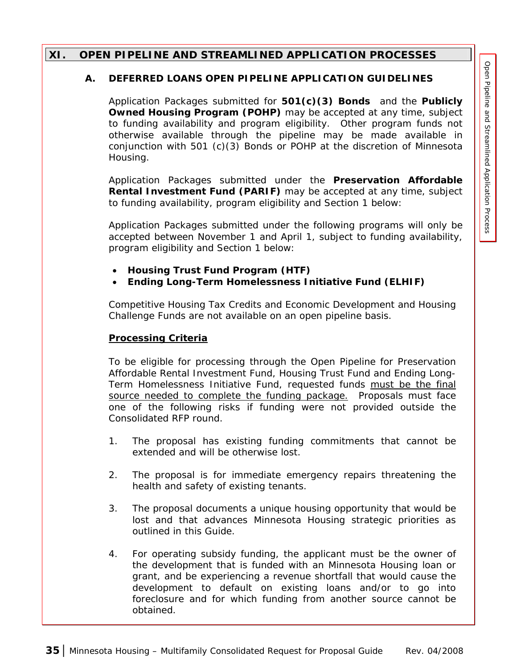## <span id="page-40-0"></span>**XI. OPEN PIPELINE AND STREAMLINED APPLICATION PROCESSES**

#### **A. DEFERRED LOANS OPEN PIPELINE APPLICATION GUIDELINES**

Application Packages submitted for **501(c)(3) Bonds** and the **Publicly Owned Housing Program (POHP)** may be accepted at any time, subject to funding availability and program eligibility. Other program funds not otherwise available through the pipeline may be made available in conjunction with 501 (c)(3) Bonds or POHP at the discretion of Minnesota Housing.

Application Packages submitted under the **Preservation Affordable Rental Investment Fund (PARIF)** may be accepted at any time, subject to funding availability, program eligibility and Section 1 below:

Application Packages submitted under the following programs will only be accepted between November 1 and April 1, subject to funding availability, program eligibility and Section 1 below:

- **Housing Trust Fund Program (HTF)**
- **Ending Long-Term Homelessness Initiative Fund (ELHIF)**

Competitive Housing Tax Credits and Economic Development and Housing Challenge Funds are *not available on an open pipeline basis*.

## **Processing Criteria**

To be eligible for processing through the Open Pipeline for Preservation Affordable Rental Investment Fund, Housing Trust Fund and Ending Long-Term Homelessness Initiative Fund, requested funds *must be the final source needed to complete the funding package*. Proposals must face one of the following risks if funding were not provided outside the Consolidated RFP round.

- 1. The proposal has existing funding commitments that cannot be extended and will be otherwise lost.
- 2. The proposal is for immediate emergency repairs threatening the health and safety of existing tenants.
- 3. The proposal documents a unique housing opportunity that would be lost and that advances Minnesota Housing strategic priorities as outlined in this Guide.
- 4. For operating subsidy funding, the applicant must be the owner of the development that is funded with an Minnesota Housing loan or grant, and be experiencing a revenue shortfall that would cause the development to default on existing loans and/or to go into foreclosure and for which funding from another source cannot be obtained.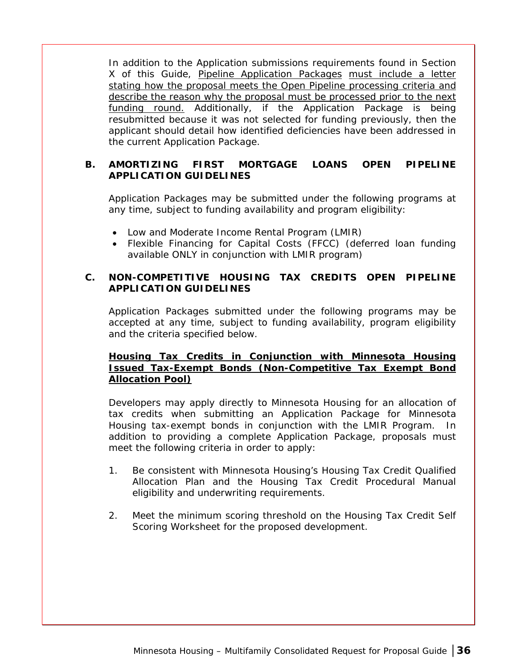<span id="page-41-0"></span>In addition to the Application submissions requirements found in Section X of this Guide, Pipeline Application Packages must include a letter stating how the proposal meets the Open Pipeline processing criteria and describe the reason why the proposal must be processed prior to the next funding round. Additionally, if the Application Package is being resubmitted because it was not selected for funding previously, then the applicant should detail how identified deficiencies have been addressed in the current Application Package.

## **B. AMORTIZING FIRST MORTGAGE LOANS OPEN PIPELINE APPLICATION GUIDELINES**

Application Packages may be submitted under the following programs at any time, subject to funding availability and program eligibility:

- Low and Moderate Income Rental Program (LMIR)
- Flexible Financing for Capital Costs (FFCC) (deferred loan funding available ONLY in conjunction with LMIR program)

## **C. NON-COMPETITIVE HOUSING TAX CREDITS OPEN PIPELINE APPLICATION GUIDELINES**

Application Packages submitted under the following programs may be accepted at any time, subject to funding availability, program eligibility and the criteria specified below.

## **Housing Tax Credits in Conjunction with Minnesota Housing Issued Tax-Exempt Bonds (Non-Competitive Tax Exempt Bond Allocation Pool)**

Developers may apply directly to Minnesota Housing for an allocation of tax credits when submitting an Application Package for Minnesota Housing tax-exempt bonds in conjunction with the LMIR Program. In addition to providing a complete Application Package, proposals must meet the following criteria in order to apply:

- 1. Be consistent with Minnesota Housing's Housing Tax Credit Qualified Allocation Plan and the Housing Tax Credit Procedural Manual eligibility and underwriting requirements.
- 2. Meet the minimum scoring threshold on the Housing Tax Credit Self Scoring Worksheet for the proposed development.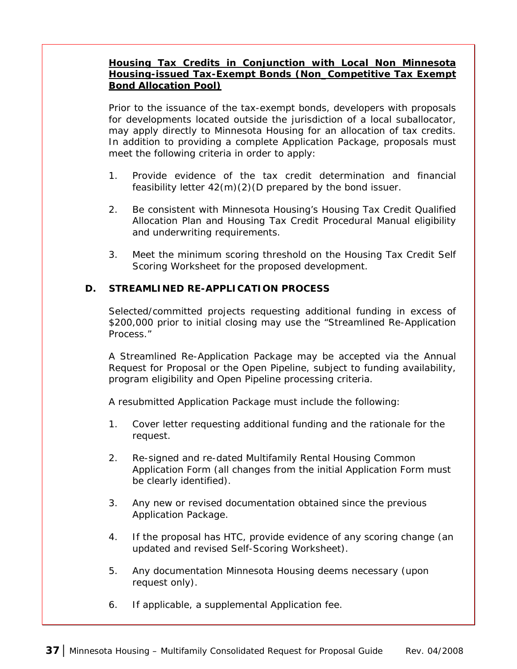### <span id="page-42-0"></span>**Housing Tax Credits in Conjunction with Local Non Minnesota Housing-issued Tax-Exempt Bonds (Non\_Competitive Tax Exempt Bond Allocation Pool)**

Prior to the issuance of the tax-exempt bonds, developers with proposals for developments located outside the jurisdiction of a local suballocator, may apply directly to Minnesota Housing for an allocation of tax credits. In addition to providing a complete Application Package, proposals must meet the following criteria in order to apply:

- 1. Provide evidence of the tax credit determination and financial feasibility letter 42(m)(2)(D prepared by the bond issuer.
- 2. Be consistent with Minnesota Housing's Housing Tax Credit Qualified Allocation Plan and Housing Tax Credit Procedural Manual eligibility and underwriting requirements.
- 3. Meet the minimum scoring threshold on the Housing Tax Credit Self Scoring Worksheet for the proposed development.

## **D. STREAMLINED RE-APPLICATION PROCESS**

Selected/committed projects requesting additional funding in excess of \$200,000 prior to initial closing may use the "Streamlined Re-Application Process."

A Streamlined Re-Application Package may be accepted via the Annual Request for Proposal or the Open Pipeline, subject to funding availability, program eligibility and Open Pipeline processing criteria.

A resubmitted Application Package must include the following:

- 1. Cover letter requesting additional funding and the rationale for the request.
- 2. Re-signed and re-dated Multifamily Rental Housing Common Application Form (all changes from the initial Application Form must be clearly identified).
- 3. Any new or revised documentation obtained since the previous Application Package.
- 4. If the proposal has HTC, provide evidence of any scoring change (an updated and revised Self-Scoring Worksheet).
- 5. Any documentation Minnesota Housing deems necessary (upon request only).
- 6. If applicable, a supplemental Application fee.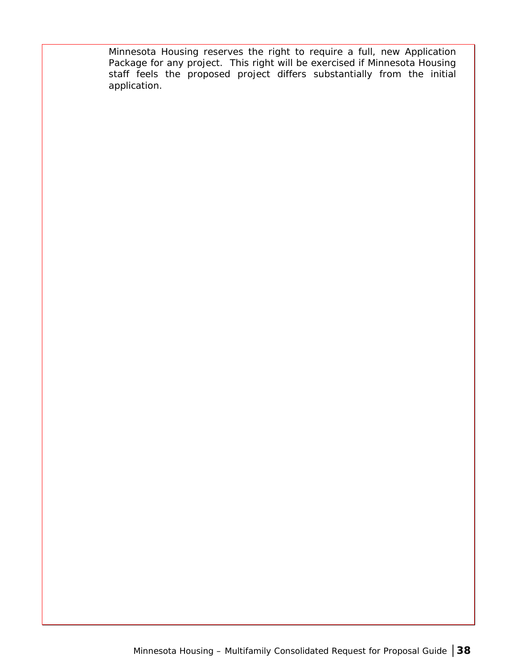Minnesota Housing reserves the right to require a full, new Application Package for any project. This right will be exercised if Minnesota Housing staff feels the proposed project differs substantially from the initial application.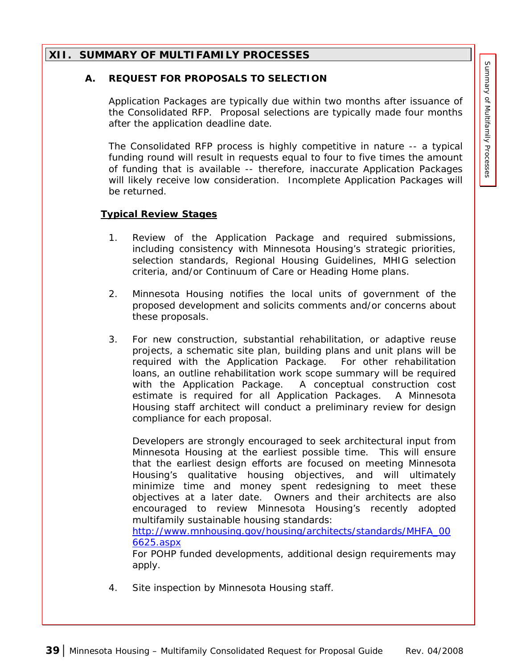### <span id="page-44-0"></span>**XII. SUMMARY OF MULTIFAMILY PROCESSES**

#### **A. REQUEST FOR PROPOSALS TO SELECTION**

Application Packages are typically due within two months after issuance of the Consolidated RFP. Proposal selections are typically made four months after the application deadline date.

The Consolidated RFP process is highly competitive in nature -- a typical funding round will result in requests equal to four to five times the amount of funding that is available -- therefore, inaccurate Application Packages will likely receive low consideration. Incomplete Application Packages will be returned.

#### **Typical Review Stages**

- 1. Review of the Application Package and required submissions, including consistency with Minnesota Housing's strategic priorities, selection standards, Regional Housing Guidelines, MHIG selection criteria, and/or Continuum of Care or Heading Home plans.
- 2. Minnesota Housing notifies the local units of government of the proposed development and solicits comments and/or concerns about these proposals.
- 3. For new construction, substantial rehabilitation, or adaptive reuse projects, a schematic site plan, building plans and unit plans will be required with the Application Package. For other rehabilitation loans, an outline rehabilitation work scope summary will be required with the Application Package. A conceptual construction cost estimate is required for all Application Packages. A Minnesota Housing staff architect will conduct a preliminary review for design compliance for each proposal.

Developers are strongly encouraged to seek architectural input from Minnesota Housing at the earliest possible time. This will ensure that the earliest design efforts are focused on meeting Minnesota Housing's qualitative housing objectives, and will ultimately minimize time and money spent redesigning to meet these objectives at a later date. Owners and their architects are also encouraged to review Minnesota Housing's recently adopted multifamily sustainable housing standards:

[http://www.mnhousing.gov/housing/architects/standards/MHFA\\_00](http://www.mnhousing.gov/housing/architects/standards/MHFA_006625.aspx) [6625.aspx](http://www.mnhousing.gov/housing/architects/standards/MHFA_006625.aspx)

For POHP funded developments, additional design requirements may apply.

4. Site inspection by Minnesota Housing staff.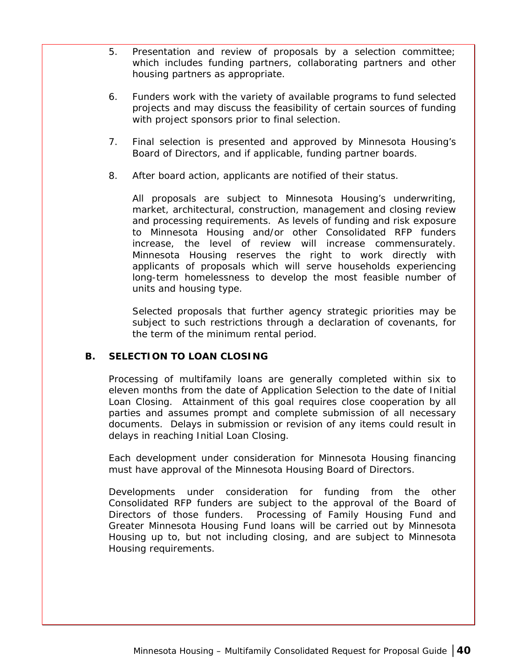- <span id="page-45-0"></span>5. Presentation and review of proposals by a selection committee; which includes funding partners, collaborating partners and other housing partners as appropriate.
- 6. Funders work with the variety of available programs to fund selected projects and may discuss the feasibility of certain sources of funding with project sponsors prior to final selection.
- 7. Final selection is presented and approved by Minnesota Housing's Board of Directors, and if applicable, funding partner boards.
- 8. After board action, applicants are notified of their status.

All proposals are subject to Minnesota Housing's underwriting, market, architectural, construction, management and closing review and processing requirements. As levels of funding and risk exposure to Minnesota Housing and/or other Consolidated RFP funders increase, the level of review will increase commensurately. Minnesota Housing reserves the right to work directly with applicants of proposals which will serve households experiencing long-term homelessness to develop the most feasible number of units and housing type.

Selected proposals that further agency strategic priorities may be subject to such restrictions through a declaration of covenants, for the term of the minimum rental period.

## **B. SELECTION TO LOAN CLOSING**

Processing of multifamily loans are generally completed within six to eleven months from the date of Application Selection to the date of Initial Loan Closing. Attainment of this goal requires close cooperation by all parties and assumes prompt and complete submission of all necessary documents. Delays in submission or revision of any items could result in delays in reaching Initial Loan Closing.

Each development under consideration for Minnesota Housing financing must have approval of the Minnesota Housing Board of Directors.

Developments under consideration for funding from the other Consolidated RFP funders are subject to the approval of the Board of Directors of those funders. Processing of Family Housing Fund and Greater Minnesota Housing Fund loans will be carried out by Minnesota Housing up to, but not including closing, and are subject to Minnesota Housing requirements.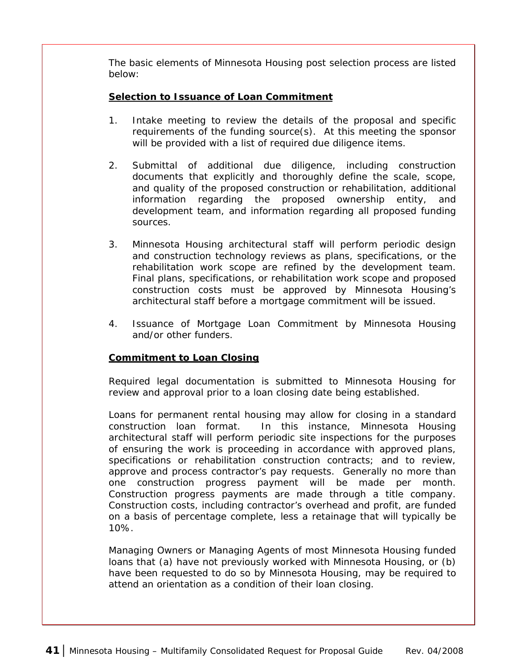<span id="page-46-0"></span>The basic elements of Minnesota Housing post selection process are listed below:

## **Selection to Issuance of Loan Commitment**

- 1. Intake meeting to review the details of the proposal and specific requirements of the funding source(s). At this meeting the sponsor will be provided with a list of required due diligence items.
- 2. Submittal of additional due diligence, including construction documents that explicitly and thoroughly define the scale, scope, and quality of the proposed construction or rehabilitation, additional information regarding the proposed ownership entity, and development team, and information regarding all proposed funding sources.
- 3. Minnesota Housing architectural staff will perform periodic design and construction technology reviews as plans, specifications, or the rehabilitation work scope are refined by the development team. Final plans, specifications, or rehabilitation work scope and proposed construction costs must be approved by Minnesota Housing's architectural staff before a mortgage commitment will be issued.
- 4. Issuance of Mortgage Loan Commitment by Minnesota Housing and/or other funders.

## **Commitment to Loan Closing**

Required legal documentation is submitted to Minnesota Housing for review and approval prior to a loan closing date being established.

Loans for permanent rental housing may allow for closing in a standard construction loan format. In this instance, Minnesota Housing architectural staff will perform periodic site inspections for the purposes of ensuring the work is proceeding in accordance with approved plans, specifications or rehabilitation construction contracts; and to review, approve and process contractor's pay requests. Generally no more than one construction progress payment will be made per month. Construction progress payments are made through a title company. Construction costs, including contractor's overhead and profit, are funded on a basis of percentage complete, less a retainage that will typically be 10%.

Managing Owners or Managing Agents of most Minnesota Housing funded loans that (a) have not previously worked with Minnesota Housing, or (b) have been requested to do so by Minnesota Housing, may be required to attend an orientation as a condition of their loan closing.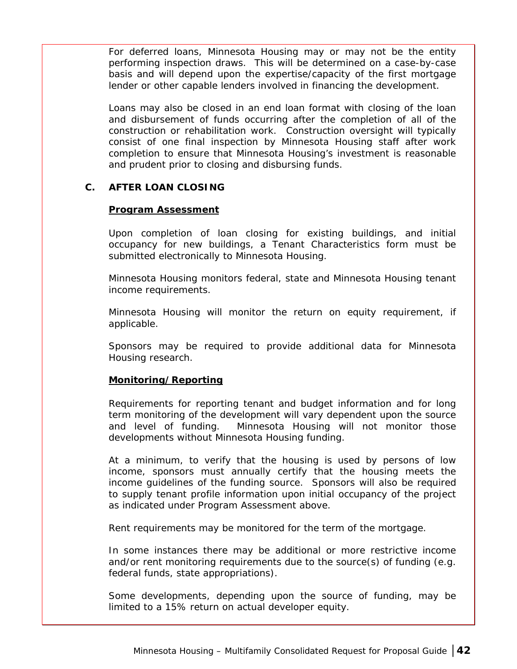<span id="page-47-0"></span>For deferred loans, Minnesota Housing may or may not be the entity performing inspection draws. This will be determined on a case-by-case basis and will depend upon the expertise/capacity of the first mortgage lender or other capable lenders involved in financing the development.

Loans may also be closed in an end loan format with closing of the loan and disbursement of funds occurring after the completion of all of the construction or rehabilitation work. Construction oversight will typically consist of one final inspection by Minnesota Housing staff after work completion to ensure that Minnesota Housing's investment is reasonable and prudent prior to closing and disbursing funds.

#### **C. AFTER LOAN CLOSING**

#### **Program Assessment**

Upon completion of loan closing for existing buildings, and initial occupancy for new buildings, a Tenant Characteristics form must be submitted electronically to Minnesota Housing.

Minnesota Housing monitors federal, state and Minnesota Housing tenant income requirements.

Minnesota Housing will monitor the return on equity requirement, if applicable.

Sponsors may be required to provide additional data for Minnesota Housing research.

#### **Monitoring/Reporting**

Requirements for reporting tenant and budget information and for long term monitoring of the development will vary dependent upon the source and level of funding. Minnesota Housing will not monitor those developments without Minnesota Housing funding.

At a minimum, to verify that the housing is used by persons of low income, sponsors must annually certify that the housing meets the income guidelines of the funding source. Sponsors will also be required to supply tenant profile information upon initial occupancy of the project as indicated under Program Assessment above.

Rent requirements may be monitored for the term of the mortgage.

In some instances there may be additional or more restrictive income and/or rent monitoring requirements due to the source(s) of funding (e.g. federal funds, state appropriations).

Some developments, depending upon the source of funding, may be limited to a 15% return on actual developer equity.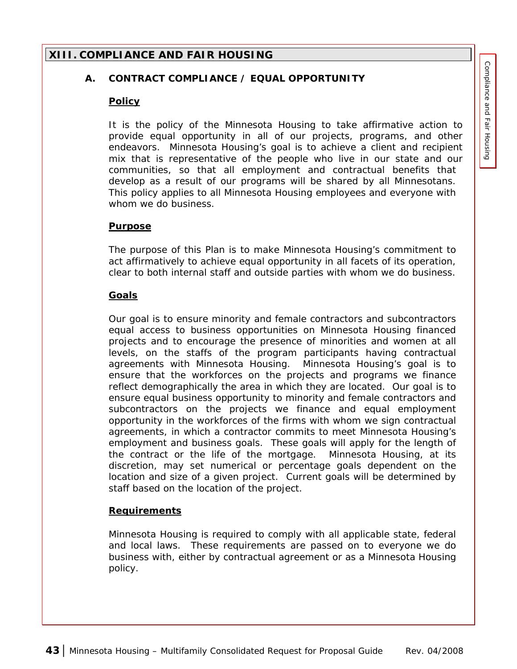## <span id="page-48-0"></span>**XIII. COMPLIANCE AND FAIR HOUSING**

#### **A. CONTRACT COMPLIANCE / EQUAL OPPORTUNITY**

#### **Policy**

It is the policy of the Minnesota Housing to take affirmative action to provide equal opportunity in all of our projects, programs, and other endeavors. Minnesota Housing's goal is to achieve a client and recipient mix that is representative of the people who live in our state and our communities, so that all employment and contractual benefits that develop as a result of our programs will be shared by all Minnesotans. This policy applies to all Minnesota Housing employees and everyone with whom we do business.

#### **Purpose**

The purpose of this Plan is to make Minnesota Housing's commitment to act affirmatively to achieve equal opportunity in all facets of its operation, clear to both internal staff and outside parties with whom we do business.

#### **Goals**

Our goal is to ensure minority and female contractors and subcontractors equal access to business opportunities on Minnesota Housing financed projects and to encourage the presence of minorities and women at all levels, on the staffs of the program participants having contractual agreements with Minnesota Housing. Minnesota Housing's goal is to ensure that the workforces on the projects and programs we finance reflect demographically the area in which they are located. Our goal is to ensure equal business opportunity to minority and female contractors and subcontractors on the projects we finance and equal employment opportunity in the workforces of the firms with whom we sign contractual agreements, in which a contractor commits to meet Minnesota Housing's employment and business goals. These goals will apply for the length of the contract or the life of the mortgage. Minnesota Housing, at its discretion, may set numerical or percentage goals dependent on the location and size of a given project. Current goals will be determined by staff based on the location of the project.

#### **Requirements**

Minnesota Housing is required to comply with all applicable state, federal and local laws. These requirements are passed on to everyone we do business with, either by contractual agreement or as a Minnesota Housing policy.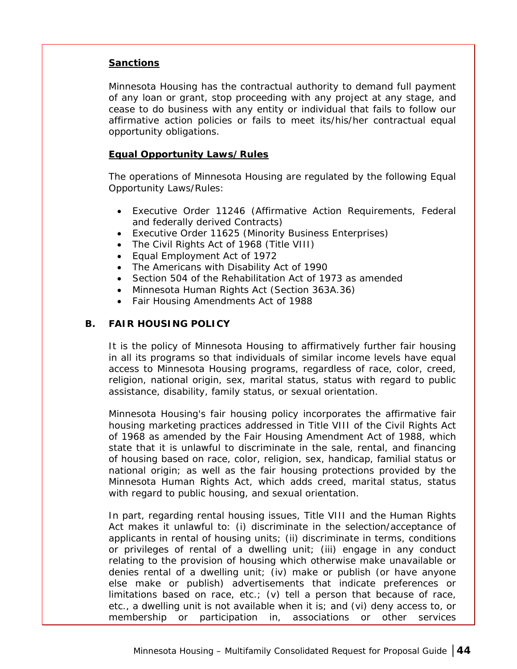#### <span id="page-49-0"></span>**Sanctions**

Minnesota Housing has the contractual authority to demand full payment of any loan or grant, stop proceeding with any project at any stage, and cease to do business with any entity or individual that fails to follow our affirmative action policies or fails to meet its/his/her contractual equal opportunity obligations.

#### **Equal Opportunity Laws/Rules**

The operations of Minnesota Housing are regulated by the following Equal Opportunity Laws/Rules:

- Executive Order 11246 (Affirmative Action Requirements, Federal and federally derived Contracts)
- Executive Order 11625 (Minority Business Enterprises)
- The Civil Rights Act of 1968 (Title VIII)
- Equal Employment Act of 1972
- The Americans with Disability Act of 1990
- Section 504 of the Rehabilitation Act of 1973 as amended
- Minnesota Human Rights Act (Section 363A.36)
- Fair Housing Amendments Act of 1988

#### **B. FAIR HOUSING POLICY**

It is the policy of Minnesota Housing to affirmatively further fair housing in all its programs so that individuals of similar income levels have equal access to Minnesota Housing programs, regardless of race, color, creed, religion, national origin, sex, marital status, status with regard to public assistance, disability, family status, or sexual orientation.

Minnesota Housing's fair housing policy incorporates the affirmative fair housing marketing practices addressed in Title VIII of the Civil Rights Act of 1968 as amended by the Fair Housing Amendment Act of 1988, which state that it is unlawful to discriminate in the sale, rental, and financing of housing based on race, color, religion, sex, handicap, familial status or national origin; as well as the fair housing protections provided by the Minnesota Human Rights Act, which adds creed, marital status, status with regard to public housing, and sexual orientation.

In part, regarding rental housing issues, Title VIII and the Human Rights Act makes it unlawful to: (i) discriminate in the selection/acceptance of applicants in rental of housing units; (ii) discriminate in terms, conditions or privileges of rental of a dwelling unit; (iii) engage in any conduct relating to the provision of housing which otherwise make unavailable or denies rental of a dwelling unit; (iv) make or publish (or have anyone else make or publish) advertisements that indicate preferences or limitations based on race, etc.; (v) tell a person that because of race, etc., a dwelling unit is not available when it is; and (vi) deny access to, or membership or participation in, associations or other services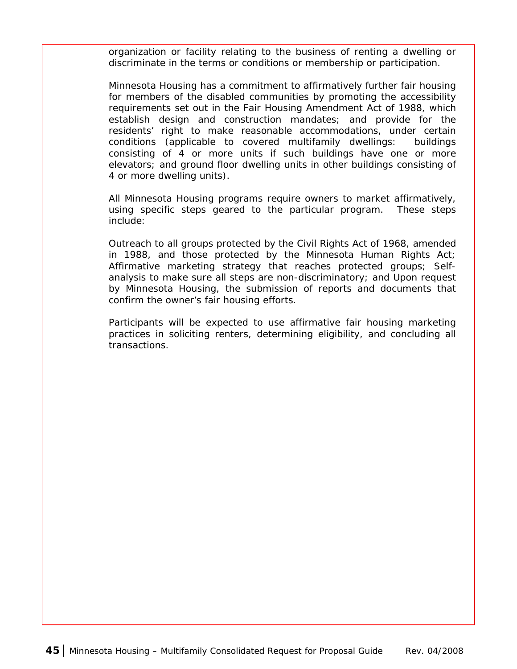organization or facility relating to the business of renting a dwelling or discriminate in the terms or conditions or membership or participation.

Minnesota Housing has a commitment to affirmatively further fair housing for members of the disabled communities by promoting the accessibility requirements set out in the Fair Housing Amendment Act of 1988, which establish design and construction mandates; and provide for the residents' right to make reasonable accommodations, under certain conditions (applicable to covered multifamily dwellings: buildings consisting of 4 or more units if such buildings have one or more elevators; and ground floor dwelling units in other buildings consisting of 4 or more dwelling units).

All Minnesota Housing programs require owners to market affirmatively, using specific steps geared to the particular program. These steps include:

Outreach to all groups protected by the Civil Rights Act of 1968, amended in 1988, and those protected by the Minnesota Human Rights Act; Affirmative marketing strategy that reaches protected groups; Selfanalysis to make sure all steps are non-discriminatory; and Upon request by Minnesota Housing, the submission of reports and documents that confirm the owner's fair housing efforts.

Participants will be expected to use affirmative fair housing marketing practices in soliciting renters, determining eligibility, and concluding all transactions.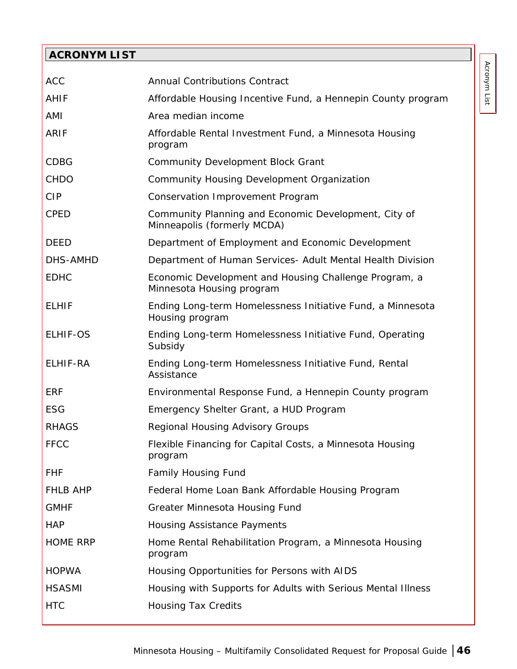## <span id="page-51-0"></span>**ACRONYM LIST**

| <b>ACC</b>      | <b>Annual Contributions Contract</b>                                                |
|-----------------|-------------------------------------------------------------------------------------|
| <b>AHIF</b>     | Affordable Housing Incentive Fund, a Hennepin County program                        |
| AMI             | Area median income                                                                  |
| <b>ARIF</b>     | Affordable Rental Investment Fund, a Minnesota Housing<br>program                   |
| <b>CDBG</b>     | <b>Community Development Block Grant</b>                                            |
| <b>CHDO</b>     | Community Housing Development Organization                                          |
| <b>CIP</b>      | Conservation Improvement Program                                                    |
| <b>CPED</b>     | Community Planning and Economic Development, City of<br>Minneapolis (formerly MCDA) |
| <b>DEED</b>     | Department of Employment and Economic Development                                   |
| DHS-AMHD        | Department of Human Services- Adult Mental Health Division                          |
| <b>EDHC</b>     | Economic Development and Housing Challenge Program, a<br>Minnesota Housing program  |
| <b>ELHIF</b>    | Ending Long-term Homelessness Initiative Fund, a Minnesota<br>Housing program       |
| <b>ELHIF-OS</b> | Ending Long-term Homelessness Initiative Fund, Operating<br>Subsidy                 |
| ELHIF-RA        | Ending Long-term Homelessness Initiative Fund, Rental<br>Assistance                 |
| <b>ERF</b>      | Environmental Response Fund, a Hennepin County program                              |
| <b>ESG</b>      | Emergency Shelter Grant, a HUD Program                                              |
| <b>RHAGS</b>    | Regional Housing Advisory Groups                                                    |
| <b>FFCC</b>     | Flexible Financing for Capital Costs, a Minnesota Housing<br>program                |
| <b>FHF</b>      | <b>Family Housing Fund</b>                                                          |
| <b>FHLB AHP</b> | Federal Home Loan Bank Affordable Housing Program                                   |
| <b>GMHF</b>     | <b>Greater Minnesota Housing Fund</b>                                               |
| <b>HAP</b>      | <b>Housing Assistance Payments</b>                                                  |
| <b>HOME RRP</b> | Home Rental Rehabilitation Program, a Minnesota Housing<br>program                  |
| <b>HOPWA</b>    | Housing Opportunities for Persons with AIDS                                         |
| <b>HSASMI</b>   | Housing with Supports for Adults with Serious Mental Illness                        |
| <b>HTC</b>      | <b>Housing Tax Credits</b>                                                          |
|                 |                                                                                     |